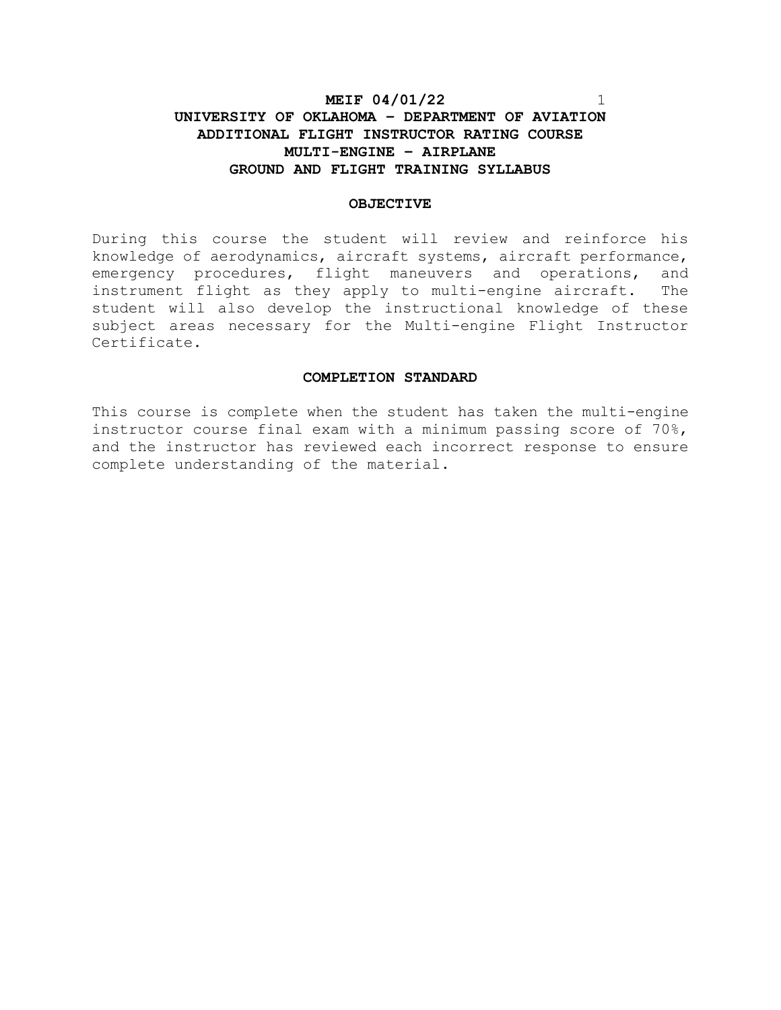# **MEIF 04/01/22** 1 **UNIVERSITY OF OKLAHOMA – DEPARTMENT OF AVIATION ADDITIONAL FLIGHT INSTRUCTOR RATING COURSE MULTI-ENGINE – AIRPLANE GROUND AND FLIGHT TRAINING SYLLABUS**

# **OBJECTIVE**

During this course the student will review and reinforce his knowledge of aerodynamics, aircraft systems, aircraft performance, emergency procedures, flight maneuvers and operations, and instrument flight as they apply to multi-engine aircraft. The student will also develop the instructional knowledge of these subject areas necessary for the Multi-engine Flight Instructor Certificate.

### **COMPLETION STANDARD**

This course is complete when the student has taken the multi-engine instructor course final exam with a minimum passing score of 70%, and the instructor has reviewed each incorrect response to ensure complete understanding of the material.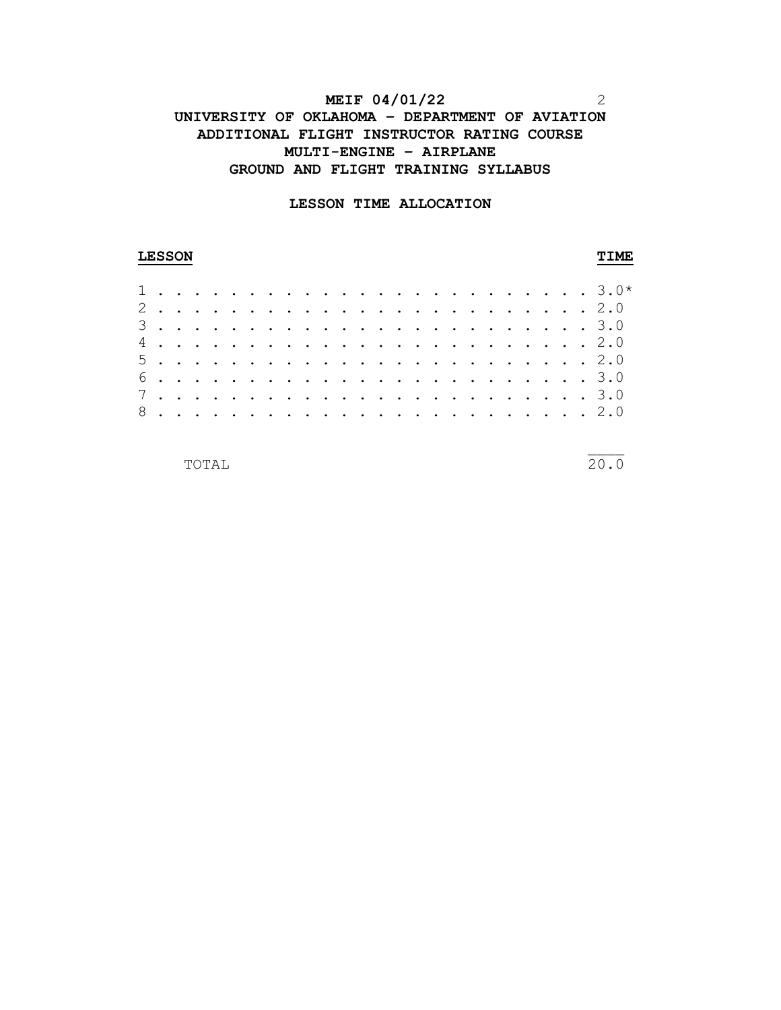# **MEIF 04/01/22** 2 **UNIVERSITY OF OKLAHOMA – DEPARTMENT OF AVIATION ADDITIONAL FLIGHT INSTRUCTOR RATING COURSE MULTI-ENGINE – AIRPLANE GROUND AND FLIGHT TRAINING SYLLABUS**

# **LESSON TIME ALLOCATION**

# **LESSON TIME**

# TOTAL 20.0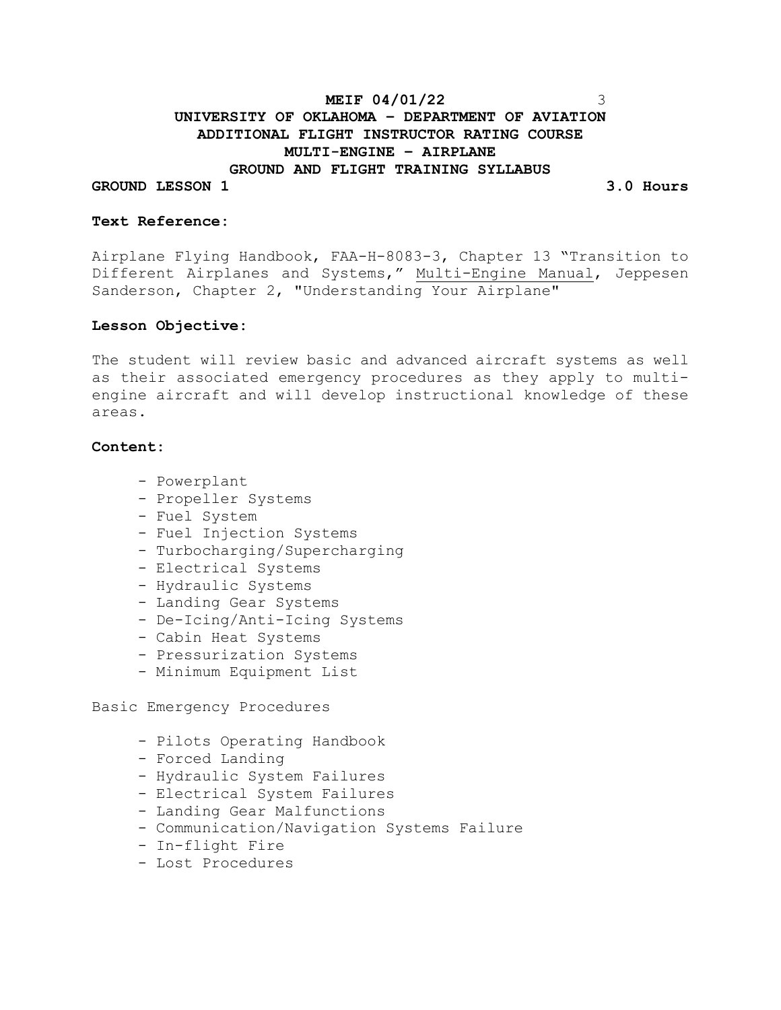# **MEIF 04/01/22** 3 **UNIVERSITY OF OKLAHOMA – DEPARTMENT OF AVIATION ADDITIONAL FLIGHT INSTRUCTOR RATING COURSE MULTI-ENGINE – AIRPLANE GROUND AND FLIGHT TRAINING SYLLABUS**

## **GROUND LESSON 1 3.0 Hours**

# **Text Reference:**

Airplane Flying Handbook, FAA-H-8083-3, Chapter 13 "Transition to Different Airplanes and Systems," Multi-Engine Manual, Jeppesen Sanderson, Chapter 2, "Understanding Your Airplane"

# **Lesson Objective:**

The student will review basic and advanced aircraft systems as well as their associated emergency procedures as they apply to multiengine aircraft and will develop instructional knowledge of these areas.

### **Content:**

- Powerplant
- Propeller Systems
- Fuel System
- Fuel Injection Systems
- Turbocharging/Supercharging
- Electrical Systems
- Hydraulic Systems
- Landing Gear Systems
- De-Icing/Anti-Icing Systems
- Cabin Heat Systems
- Pressurization Systems
- Minimum Equipment List

Basic Emergency Procedures

- Pilots Operating Handbook
- Forced Landing
- Hydraulic System Failures
- Electrical System Failures
- Landing Gear Malfunctions
- Communication/Navigation Systems Failure
- In-flight Fire
- Lost Procedures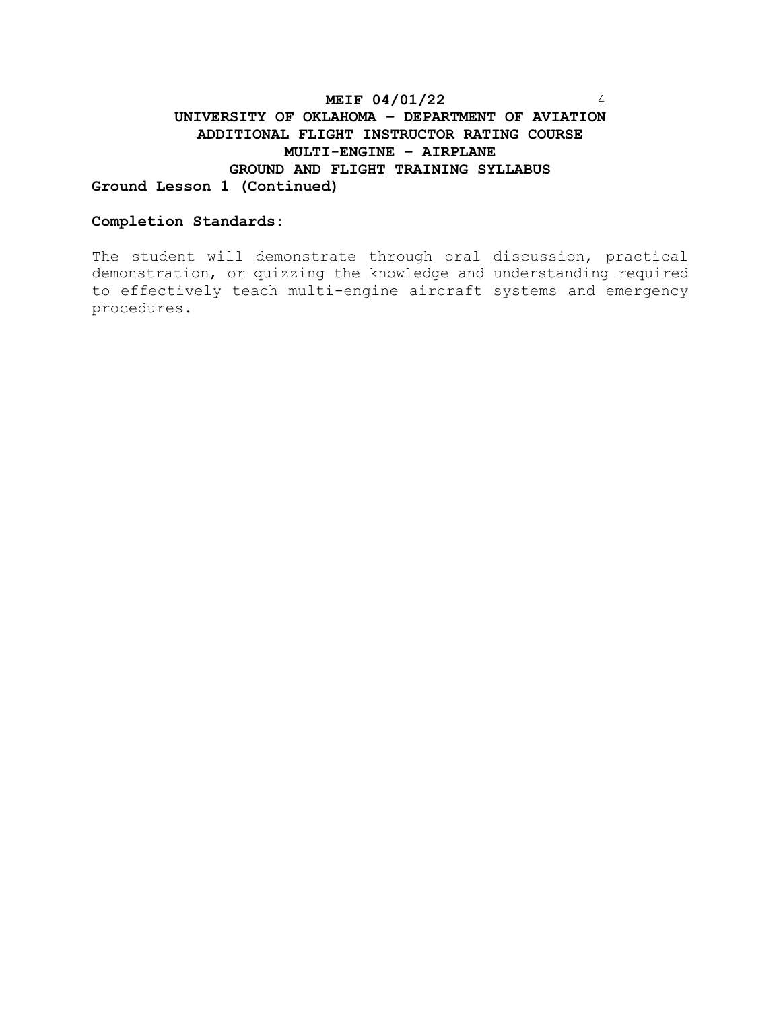# **MEIF 04/01/22** 4 **UNIVERSITY OF OKLAHOMA – DEPARTMENT OF AVIATION ADDITIONAL FLIGHT INSTRUCTOR RATING COURSE MULTI-ENGINE – AIRPLANE GROUND AND FLIGHT TRAINING SYLLABUS Ground Lesson 1 (Continued)**

# **Completion Standards:**

The student will demonstrate through oral discussion, practical demonstration, or quizzing the knowledge and understanding required to effectively teach multi-engine aircraft systems and emergency procedures.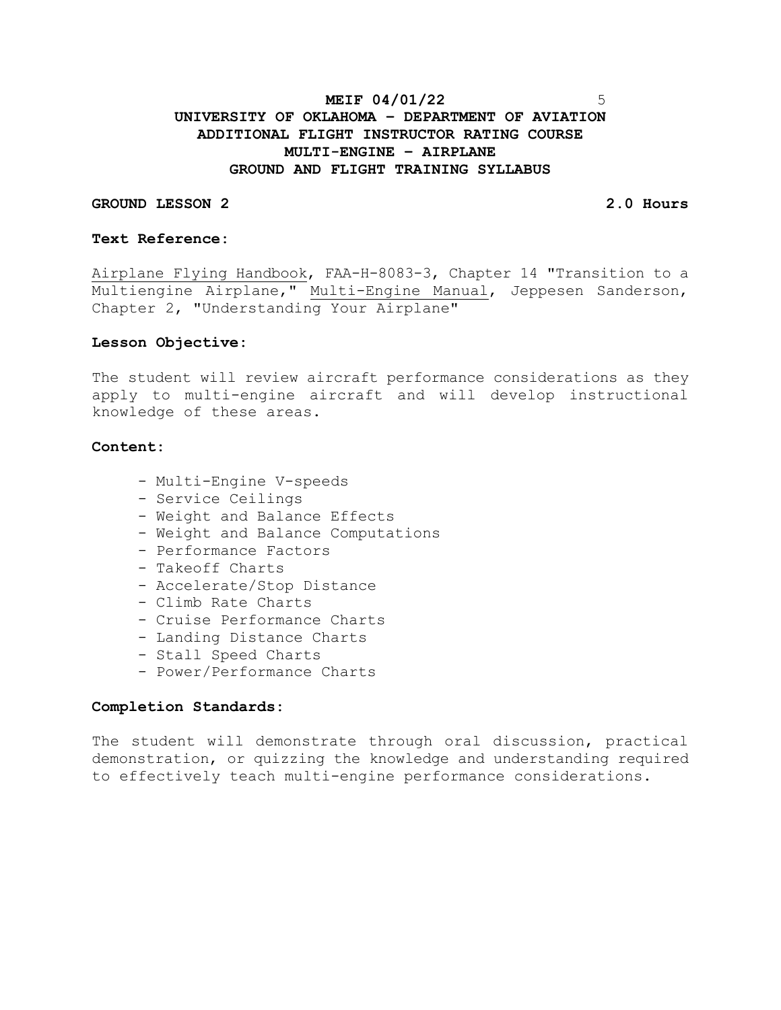# **MEIF 04/01/22** 5 **UNIVERSITY OF OKLAHOMA – DEPARTMENT OF AVIATION ADDITIONAL FLIGHT INSTRUCTOR RATING COURSE MULTI-ENGINE – AIRPLANE GROUND AND FLIGHT TRAINING SYLLABUS**

# **GROUND LESSON 2 2.0 Hours**

# **Text Reference:**

Airplane Flying Handbook, FAA-H-8083-3, Chapter 14 "Transition to a Multiengine Airplane," Multi-Engine Manual, Jeppesen Sanderson, Chapter 2, "Understanding Your Airplane"

## **Lesson Objective:**

The student will review aircraft performance considerations as they apply to multi-engine aircraft and will develop instructional knowledge of these areas.

## **Content:**

- Multi-Engine V-speeds
- Service Ceilings
- Weight and Balance Effects
- Weight and Balance Computations
- Performance Factors
- Takeoff Charts
- Accelerate/Stop Distance
- Climb Rate Charts
- Cruise Performance Charts
- Landing Distance Charts
- Stall Speed Charts
- Power/Performance Charts

## **Completion Standards:**

The student will demonstrate through oral discussion, practical demonstration, or quizzing the knowledge and understanding required to effectively teach multi-engine performance considerations.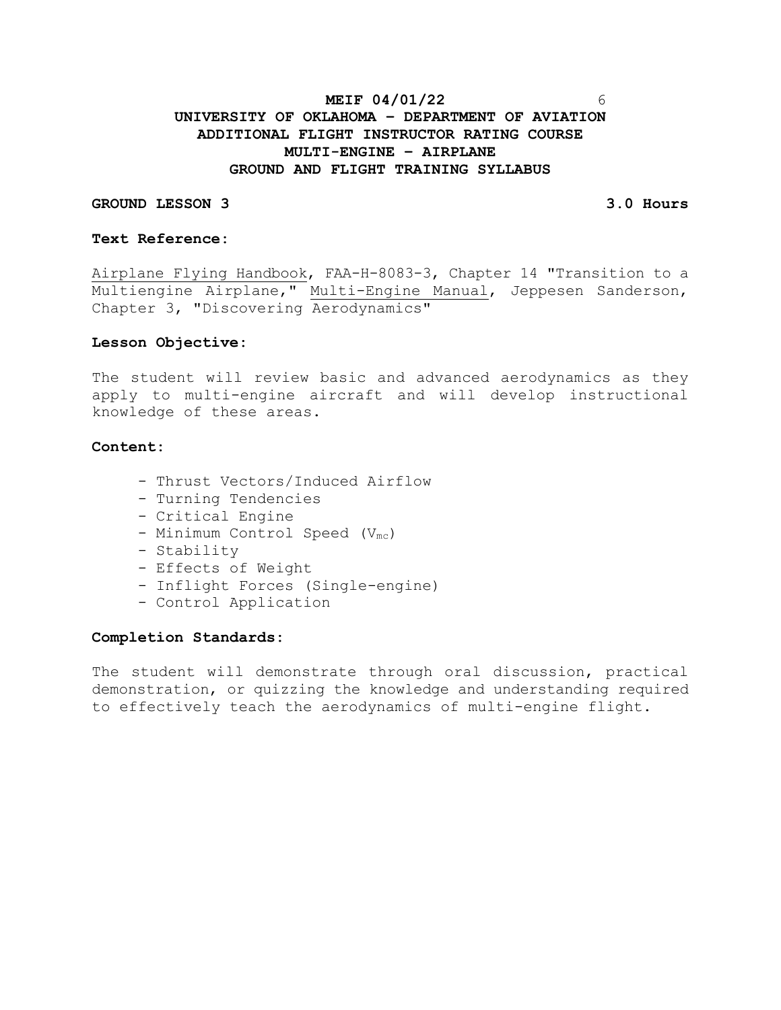# **MEIF 04/01/22** 6 **UNIVERSITY OF OKLAHOMA – DEPARTMENT OF AVIATION ADDITIONAL FLIGHT INSTRUCTOR RATING COURSE MULTI-ENGINE – AIRPLANE GROUND AND FLIGHT TRAINING SYLLABUS**

# **GROUND LESSON 3 3.0 Hours**

# **Text Reference:**

Airplane Flying Handbook, FAA-H-8083-3, Chapter 14 "Transition to a Multiengine Airplane," Multi-Engine Manual, Jeppesen Sanderson, Chapter 3, "Discovering Aerodynamics"

## **Lesson Objective:**

The student will review basic and advanced aerodynamics as they apply to multi-engine aircraft and will develop instructional knowledge of these areas.

## **Content:**

- Thrust Vectors/Induced Airflow
- Turning Tendencies
- Critical Engine
- Minimum Control Speed (Vmc)
- Stability
- Effects of Weight
- Inflight Forces (Single-engine)
- Control Application

# **Completion Standards:**

The student will demonstrate through oral discussion, practical demonstration, or quizzing the knowledge and understanding required to effectively teach the aerodynamics of multi-engine flight.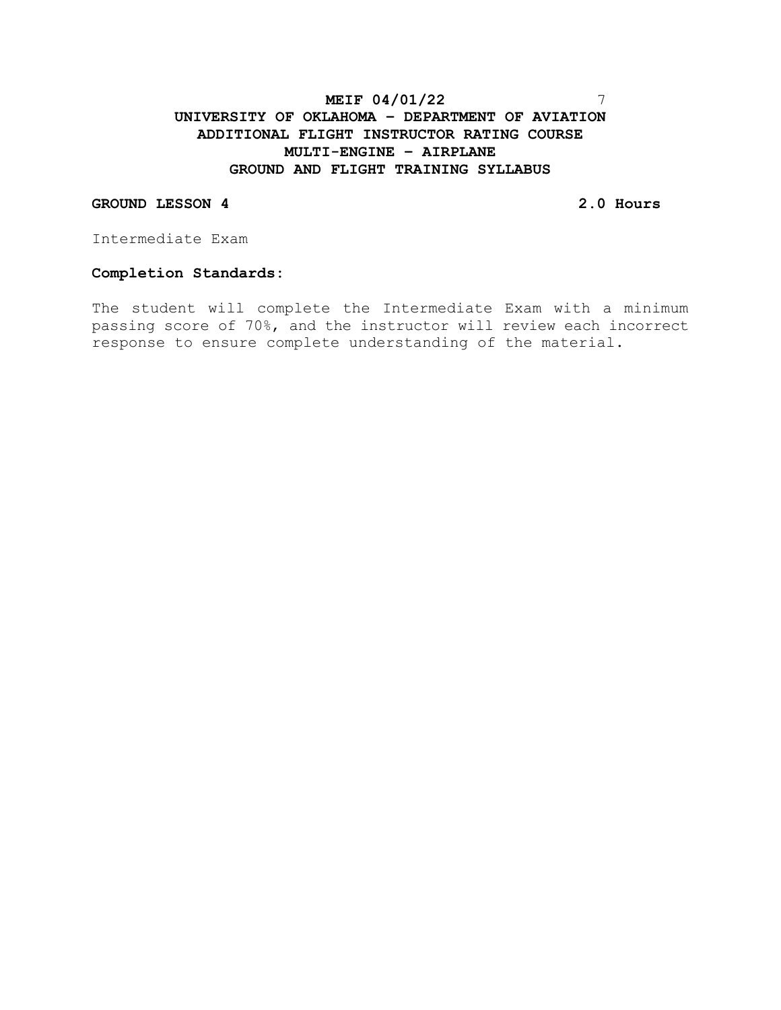# **MEIF 04/01/22** 7 **UNIVERSITY OF OKLAHOMA – DEPARTMENT OF AVIATION ADDITIONAL FLIGHT INSTRUCTOR RATING COURSE MULTI-ENGINE – AIRPLANE GROUND AND FLIGHT TRAINING SYLLABUS**

# **GROUND LESSON 4 2.0 Hours**

Intermediate Exam

# **Completion Standards:**

The student will complete the Intermediate Exam with a minimum passing score of 70%, and the instructor will review each incorrect response to ensure complete understanding of the material.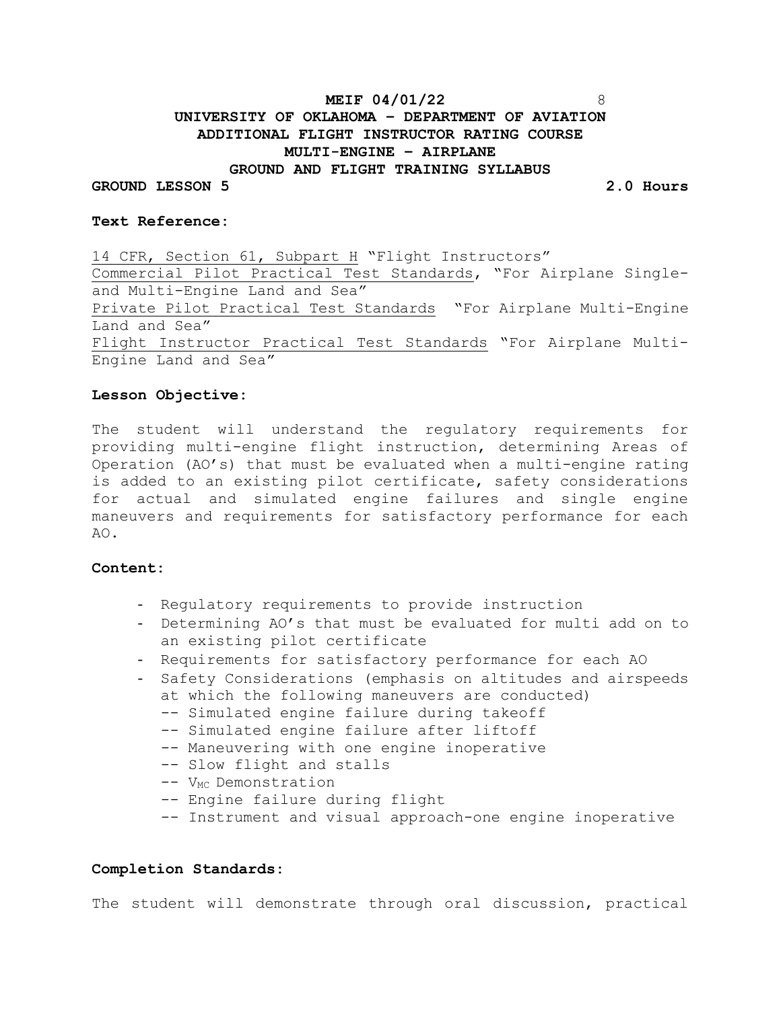# **MEIF 04/01/22** 8 **UNIVERSITY OF OKLAHOMA – DEPARTMENT OF AVIATION ADDITIONAL FLIGHT INSTRUCTOR RATING COURSE MULTI-ENGINE – AIRPLANE GROUND AND FLIGHT TRAINING SYLLABUS**

### **GROUND LESSON 5 2.0 Hours**

# **Text Reference:**

14 CFR, Section 61, Subpart H "Flight Instructors" Commercial Pilot Practical Test Standards, "For Airplane Singleand Multi-Engine Land and Sea" Private Pilot Practical Test Standards "For Airplane Multi-Engine Land and Sea" Flight Instructor Practical Test Standards "For Airplane Multi-Engine Land and Sea"

## **Lesson Objective:**

The student will understand the regulatory requirements for providing multi-engine flight instruction, determining Areas of Operation (AO's) that must be evaluated when a multi-engine rating is added to an existing pilot certificate, safety considerations for actual and simulated engine failures and single engine maneuvers and requirements for satisfactory performance for each AO.

# **Content:**

- Regulatory requirements to provide instruction
- Determining AO's that must be evaluated for multi add on to an existing pilot certificate
- Requirements for satisfactory performance for each AO
- Safety Considerations (emphasis on altitudes and airspeeds at which the following maneuvers are conducted)
	- -- Simulated engine failure during takeoff
	- -- Simulated engine failure after liftoff
	- -- Maneuvering with one engine inoperative
	- -- Slow flight and stalls
	- $--$  V<sub>MC</sub> Demonstration
	- -- Engine failure during flight
	- -- Instrument and visual approach-one engine inoperative

# **Completion Standards:**

The student will demonstrate through oral discussion, practical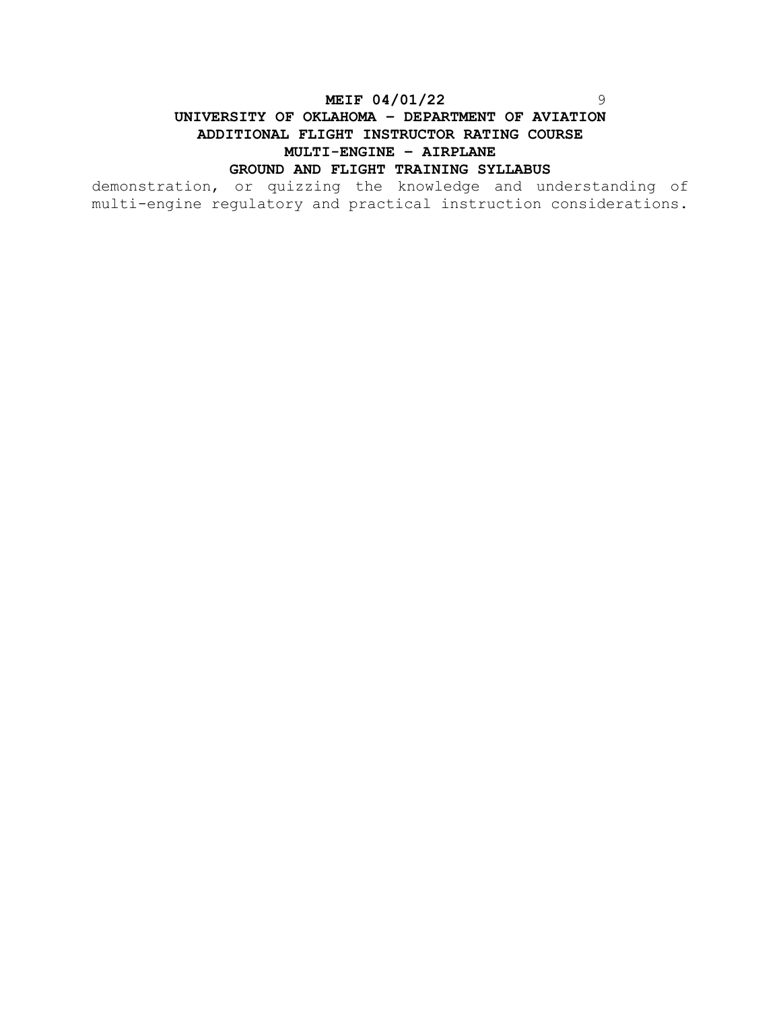# **MEIF 04/01/22** 9

# **UNIVERSITY OF OKLAHOMA – DEPARTMENT OF AVIATION ADDITIONAL FLIGHT INSTRUCTOR RATING COURSE MULTI-ENGINE – AIRPLANE**

# **GROUND AND FLIGHT TRAINING SYLLABUS**

demonstration, or quizzing the knowledge and understanding of multi-engine regulatory and practical instruction considerations.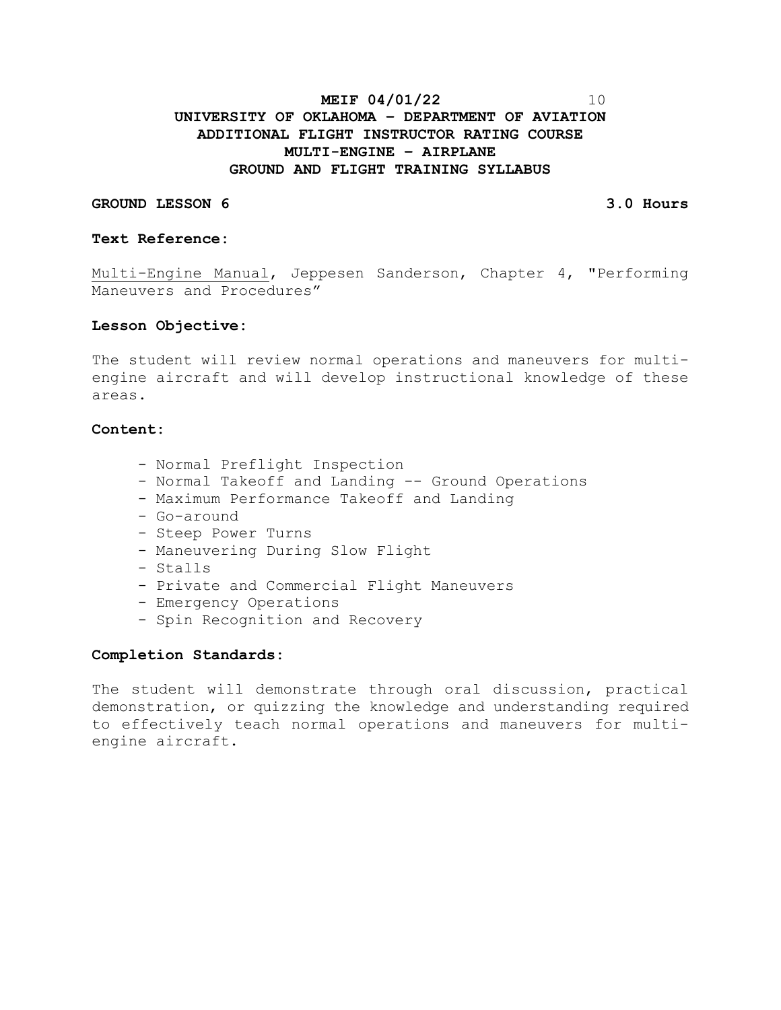# **MEIF 04/01/22** 10 **UNIVERSITY OF OKLAHOMA – DEPARTMENT OF AVIATION ADDITIONAL FLIGHT INSTRUCTOR RATING COURSE MULTI-ENGINE – AIRPLANE GROUND AND FLIGHT TRAINING SYLLABUS**

# **GROUND LESSON 6 3.0 Hours**

# **Text Reference:**

Multi-Engine Manual, Jeppesen Sanderson, Chapter 4, "Performing Maneuvers and Procedures"

# **Lesson Objective:**

The student will review normal operations and maneuvers for multiengine aircraft and will develop instructional knowledge of these areas.

# **Content:**

- Normal Preflight Inspection
- Normal Takeoff and Landing -- Ground Operations
- Maximum Performance Takeoff and Landing
- Go-around
- Steep Power Turns
- Maneuvering During Slow Flight
- Stalls
- Private and Commercial Flight Maneuvers
- Emergency Operations
- Spin Recognition and Recovery

# **Completion Standards:**

The student will demonstrate through oral discussion, practical demonstration, or quizzing the knowledge and understanding required to effectively teach normal operations and maneuvers for multiengine aircraft.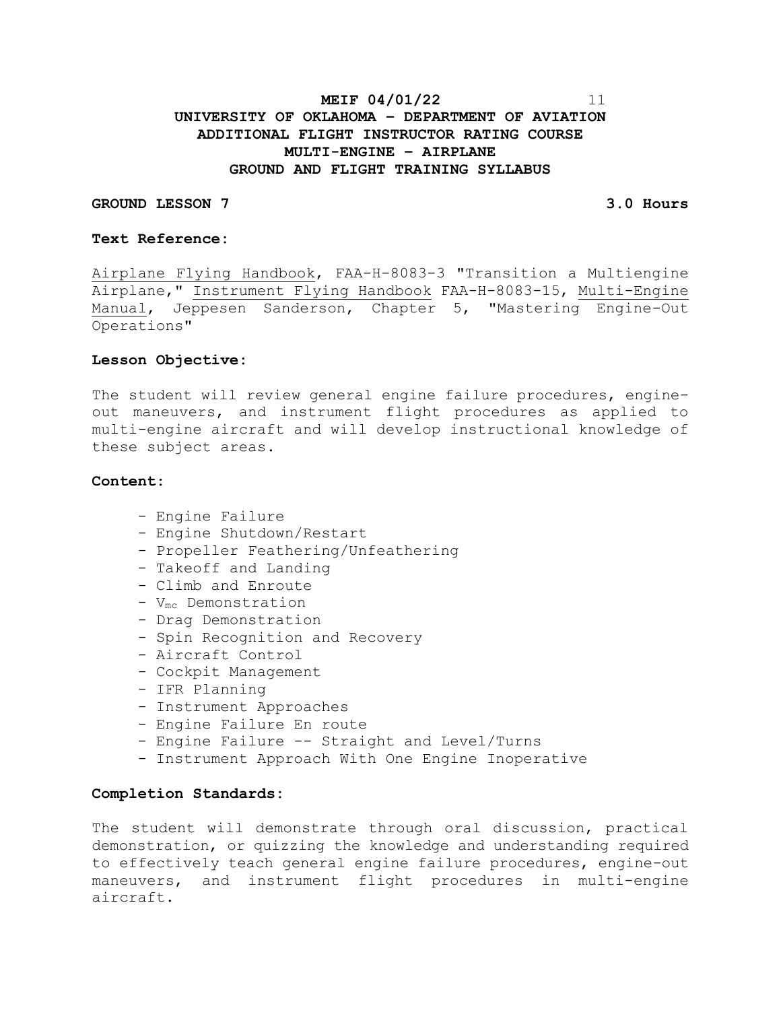# **MEIF 04/01/22** 11 **UNIVERSITY OF OKLAHOMA – DEPARTMENT OF AVIATION ADDITIONAL FLIGHT INSTRUCTOR RATING COURSE MULTI-ENGINE – AIRPLANE GROUND AND FLIGHT TRAINING SYLLABUS**

# **GROUND LESSON 7 3.0 Hours**

# **Text Reference:**

Airplane Flying Handbook, FAA-H-8083-3 "Transition a Multiengine Airplane," Instrument Flying Handbook FAA-H-8083-15, Multi-Engine Manual, Jeppesen Sanderson, Chapter 5, "Mastering Engine-Out Operations"

## **Lesson Objective:**

The student will review general engine failure procedures, engineout maneuvers, and instrument flight procedures as applied to multi-engine aircraft and will develop instructional knowledge of these subject areas.

#### **Content:**

- Engine Failure
- Engine Shutdown/Restart
- Propeller Feathering/Unfeathering
- Takeoff and Landing
- Climb and Enroute
- Vmc Demonstration
- Drag Demonstration
- Spin Recognition and Recovery
- Aircraft Control
- Cockpit Management
- IFR Planning
- Instrument Approaches
- Engine Failure En route
- Engine Failure -- Straight and Level/Turns
- Instrument Approach With One Engine Inoperative

## **Completion Standards:**

The student will demonstrate through oral discussion, practical demonstration, or quizzing the knowledge and understanding required to effectively teach general engine failure procedures, engine-out maneuvers, and instrument flight procedures in multi-engine aircraft.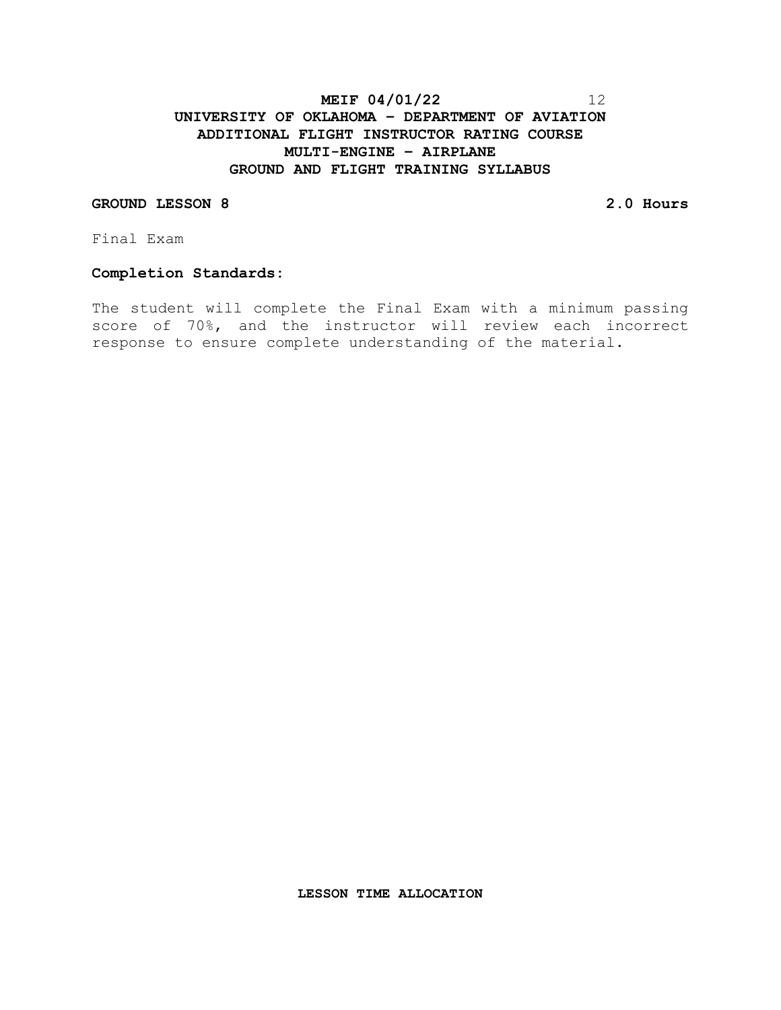# **MEIF 04/01/22** 12 **UNIVERSITY OF OKLAHOMA – DEPARTMENT OF AVIATION ADDITIONAL FLIGHT INSTRUCTOR RATING COURSE MULTI-ENGINE – AIRPLANE GROUND AND FLIGHT TRAINING SYLLABUS**

# **GROUND LESSON 8 2.0 Hours**

Final Exam

# **Completion Standards:**

The student will complete the Final Exam with a minimum passing score of 70%, and the instructor will review each incorrect response to ensure complete understanding of the material.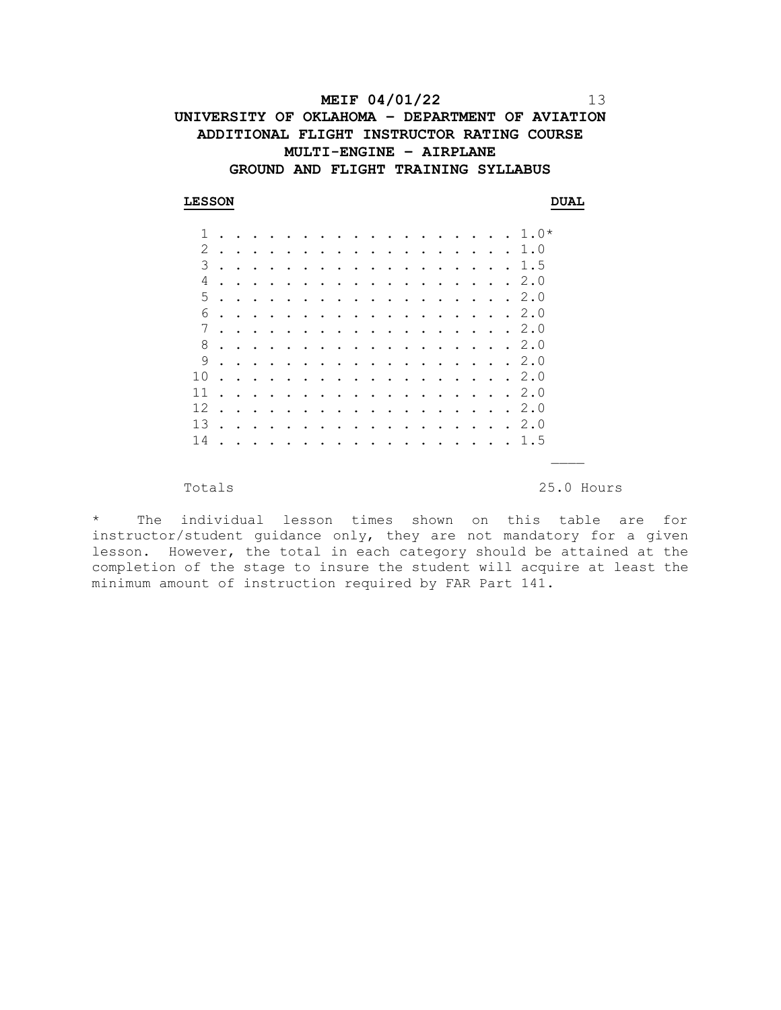# **MEIF 04/01/22** 13 **UNIVERSITY OF OKLAHOMA – DEPARTMENT OF AVIATION ADDITIONAL FLIGHT INSTRUCTOR RATING COURSE MULTI-ENGINE – AIRPLANE GROUND AND FLIGHT TRAINING SYLLABUS**

#### **LESSON DUAL**

| 1  |                      |           |           |           |           |           |           |   |   |           |           |           |           |           |           |           |                      | $\ddot{\phantom{a}}$ | $1.0*$ |
|----|----------------------|-----------|-----------|-----------|-----------|-----------|-----------|---|---|-----------|-----------|-----------|-----------|-----------|-----------|-----------|----------------------|----------------------|--------|
| 2  | $\ddot{\phantom{0}}$ |           |           |           |           |           |           |   |   |           | ٠         |           |           |           |           |           | $\bullet$            |                      | 1.0    |
| 3  | $\ddot{\phantom{0}}$ | $\bullet$ | $\bullet$ |           |           |           |           |   |   |           | ٠         |           |           |           |           | $\bullet$ | $\bullet$            | $\ddot{\phantom{0}}$ | 1.5    |
| 4  | $\ddot{\phantom{0}}$ |           |           |           |           | ٠         |           | ٠ | ٠ | ٠         |           |           |           |           |           | $\bullet$ | $\bullet$            | $\bullet$            | 2.0    |
| 5  | $\ddot{\phantom{a}}$ | $\bullet$ | $\bullet$ |           |           |           | ٠         | ٠ |   |           | $\bullet$ | $\bullet$ | ٠         | $\bullet$ | $\bullet$ | $\bullet$ | $\bullet$            | $\ddot{\phantom{a}}$ | 2.0    |
| 6  | $\ddot{\phantom{0}}$ | $\bullet$ | $\bullet$ |           |           |           |           |   |   | ٠         | $\bullet$ |           |           | $\bullet$ | $\bullet$ | $\bullet$ | $\bullet$            | $\ddot{\phantom{a}}$ | 2.0    |
| 7  | $\ddot{\phantom{a}}$ | $\bullet$ | $\bullet$ | $\bullet$ |           | $\bullet$ | ٠         | ٠ |   | ٠         | $\bullet$ | ٠         | ٠         | $\bullet$ | $\bullet$ | $\bullet$ | $\ddot{\phantom{0}}$ | $\ddot{\phantom{a}}$ | 2.0    |
| 8  | $\ddot{\phantom{a}}$ | $\bullet$ |           |           |           |           |           |   |   |           |           |           |           | ٠         |           | $\bullet$ | $\ddot{\phantom{0}}$ | $\ddot{\phantom{a}}$ | 2.0    |
| 9  | $\ddot{\phantom{0}}$ | $\bullet$ | $\bullet$ | ٠         | $\bullet$ |           | $\bullet$ |   |   | ٠         | $\bullet$ |           | $\bullet$ | $\bullet$ |           | $\bullet$ | $\bullet$            | $\ddot{\phantom{a}}$ | 2.0    |
| 10 | $\ddot{\phantom{0}}$ | $\bullet$ |           |           |           |           |           |   |   | ٠         |           |           | ٠         | ٠         |           | $\bullet$ | $\ddot{\phantom{0}}$ | $\ddot{\phantom{a}}$ | 2.0    |
| 11 | $\ddot{\phantom{a}}$ |           |           |           | $\bullet$ |           |           |   |   | $\bullet$ | ٠         |           | $\bullet$ | $\bullet$ |           | $\bullet$ | $\bullet$            | $\overline{a}$       | 2.0    |
| 12 | $\ddot{\phantom{a}}$ | $\bullet$ | $\bullet$ | $\bullet$ | ٠         | ٠         | ٠         | ٠ |   |           | ٠         |           | $\bullet$ | $\bullet$ | $\bullet$ | $\bullet$ | $\ddot{\phantom{0}}$ | $\ddot{\phantom{a}}$ | 2.0    |
| 13 | $\ddot{\phantom{0}}$ | $\bullet$ | $\bullet$ |           | ٠         |           |           | ٠ | ٠ | ٠         |           |           | ٠         | $\bullet$ |           | $\bullet$ | $\bullet$            | $\overline{a}$       | 2.0    |
| 14 |                      |           |           |           |           |           |           |   |   |           |           |           |           |           |           |           |                      |                      | 1.5    |
|    |                      |           |           |           |           |           |           |   |   |           |           |           |           |           |           |           |                      |                      |        |

## Totals 25.0 Hours

\* The individual lesson times shown on this table are for instructor/student guidance only, they are not mandatory for a given lesson. However, the total in each category should be attained at the completion of the stage to insure the student will acquire at least the minimum amount of instruction required by FAR Part 141.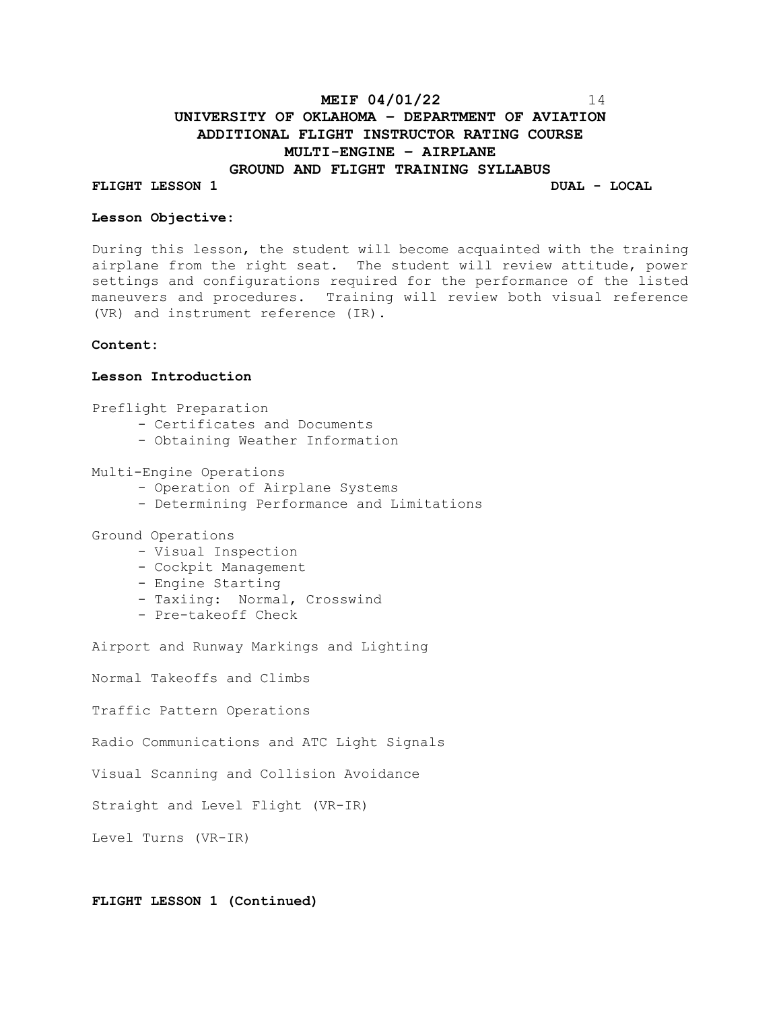# **MEIF 04/01/22** 14 **UNIVERSITY OF OKLAHOMA – DEPARTMENT OF AVIATION ADDITIONAL FLIGHT INSTRUCTOR RATING COURSE MULTI-ENGINE – AIRPLANE GROUND AND FLIGHT TRAINING SYLLABUS**

# **FLIGHT LESSON 1 DUAL - LOCAL**

#### **Lesson Objective:**

During this lesson, the student will become acquainted with the training airplane from the right seat. The student will review attitude, power settings and configurations required for the performance of the listed maneuvers and procedures. Training will review both visual reference (VR) and instrument reference (IR).

## **Content:**

#### **Lesson Introduction**

Preflight Preparation

- Certificates and Documents
- Obtaining Weather Information

Multi-Engine Operations

- Operation of Airplane Systems
- Determining Performance and Limitations

Ground Operations

- Visual Inspection
- Cockpit Management
- Engine Starting
- Taxiing: Normal, Crosswind
- Pre-takeoff Check

Airport and Runway Markings and Lighting

Normal Takeoffs and Climbs

Traffic Pattern Operations

Radio Communications and ATC Light Signals

Visual Scanning and Collision Avoidance

Straight and Level Flight (VR-IR)

Level Turns (VR-IR)

## **FLIGHT LESSON 1 (Continued)**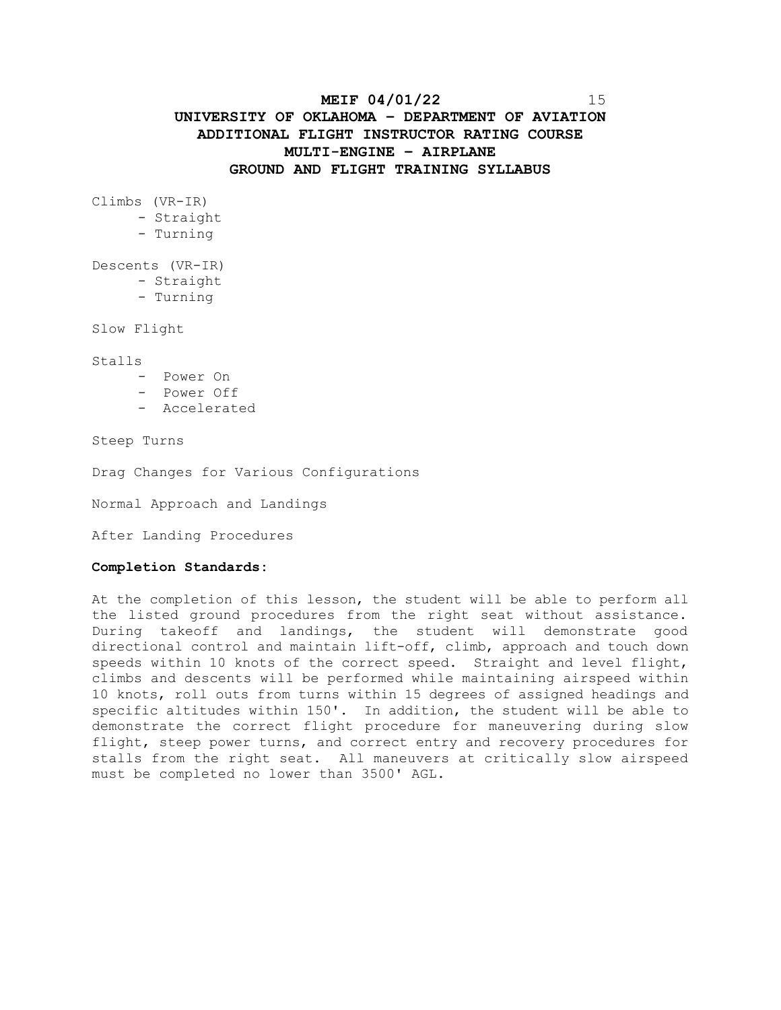# **MEIF 04/01/22** 15 **UNIVERSITY OF OKLAHOMA – DEPARTMENT OF AVIATION ADDITIONAL FLIGHT INSTRUCTOR RATING COURSE MULTI-ENGINE – AIRPLANE GROUND AND FLIGHT TRAINING SYLLABUS**

Climbs (VR-IR)

- Straight
- Turning

Descents (VR-IR)

- Straight
	- Turning

Slow Flight

Stalls

- Power On
- Power Off
- Accelerated

Steep Turns

Drag Changes for Various Configurations

Normal Approach and Landings

After Landing Procedures

## **Completion Standards:**

At the completion of this lesson, the student will be able to perform all the listed ground procedures from the right seat without assistance. During takeoff and landings, the student will demonstrate good directional control and maintain lift-off, climb, approach and touch down speeds within 10 knots of the correct speed. Straight and level flight, climbs and descents will be performed while maintaining airspeed within 10 knots, roll outs from turns within 15 degrees of assigned headings and specific altitudes within 150'. In addition, the student will be able to demonstrate the correct flight procedure for maneuvering during slow flight, steep power turns, and correct entry and recovery procedures for stalls from the right seat. All maneuvers at critically slow airspeed must be completed no lower than 3500' AGL.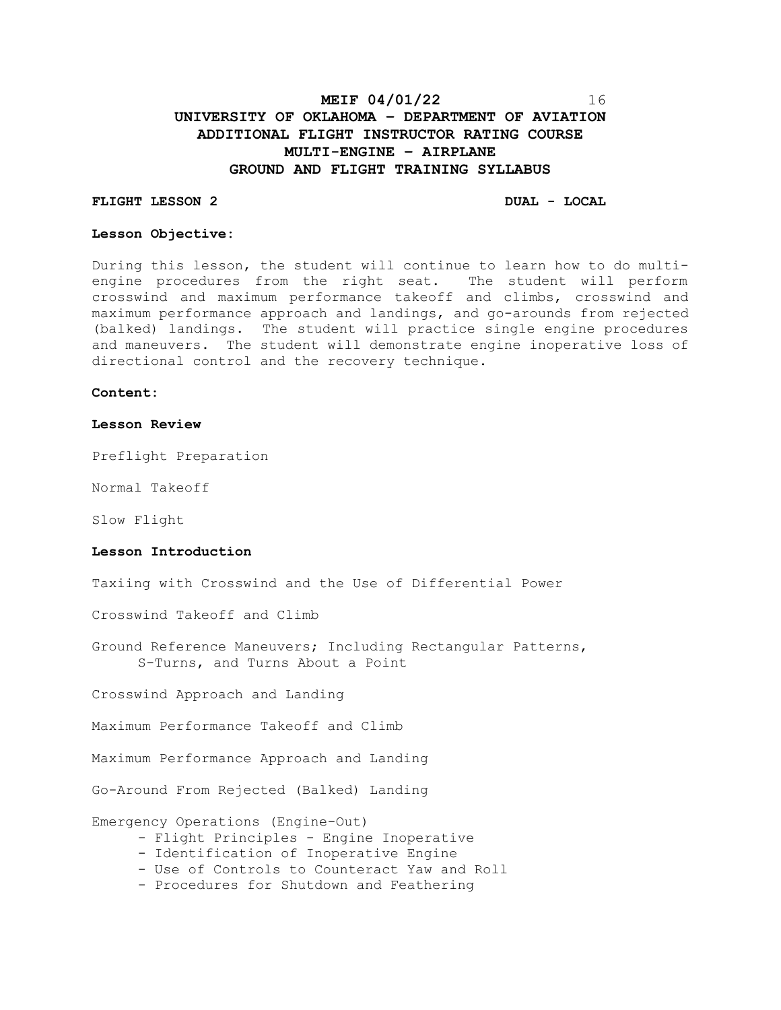# **MEIF 04/01/22** 16 **UNIVERSITY OF OKLAHOMA – DEPARTMENT OF AVIATION ADDITIONAL FLIGHT INSTRUCTOR RATING COURSE MULTI-ENGINE – AIRPLANE GROUND AND FLIGHT TRAINING SYLLABUS**

#### **FLIGHT LESSON 2 DUAL - LOCAL**

#### **Lesson Objective:**

During this lesson, the student will continue to learn how to do multiengine procedures from the right seat. The student will perform crosswind and maximum performance takeoff and climbs, crosswind and maximum performance approach and landings, and go-arounds from rejected (balked) landings. The student will practice single engine procedures and maneuvers. The student will demonstrate engine inoperative loss of directional control and the recovery technique.

# **Content:**

#### **Lesson Review**

Preflight Preparation

Normal Takeoff

Slow Flight

### **Lesson Introduction**

Taxiing with Crosswind and the Use of Differential Power

Crosswind Takeoff and Climb

Ground Reference Maneuvers; Including Rectangular Patterns, S-Turns, and Turns About a Point

Crosswind Approach and Landing

Maximum Performance Takeoff and Climb

Maximum Performance Approach and Landing

Go-Around From Rejected (Balked) Landing

Emergency Operations (Engine-Out)

- Flight Principles Engine Inoperative
- Identification of Inoperative Engine
- Use of Controls to Counteract Yaw and Roll
- Procedures for Shutdown and Feathering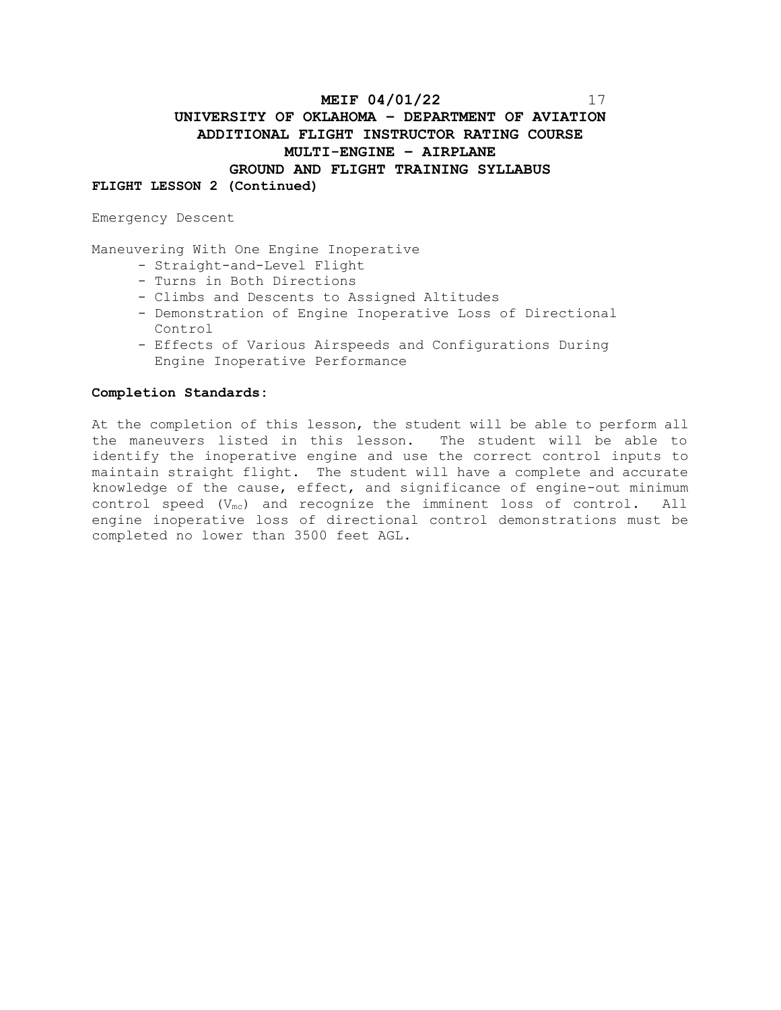# **MEIF 04/01/22** 17 **UNIVERSITY OF OKLAHOMA – DEPARTMENT OF AVIATION ADDITIONAL FLIGHT INSTRUCTOR RATING COURSE MULTI-ENGINE – AIRPLANE GROUND AND FLIGHT TRAINING SYLLABUS FLIGHT LESSON 2 (Continued)**

Emergency Descent

Maneuvering With One Engine Inoperative

- Straight-and-Level Flight
- Turns in Both Directions
- Climbs and Descents to Assigned Altitudes
- Demonstration of Engine Inoperative Loss of Directional Control
- Effects of Various Airspeeds and Configurations During Engine Inoperative Performance

## **Completion Standards:**

At the completion of this lesson, the student will be able to perform all the maneuvers listed in this lesson. The student will be able to identify the inoperative engine and use the correct control inputs to maintain straight flight. The student will have a complete and accurate knowledge of the cause, effect, and significance of engine-out minimum control speed  $(V_{mc})$  and recognize the imminent loss of control. All engine inoperative loss of directional control demonstrations must be completed no lower than 3500 feet AGL.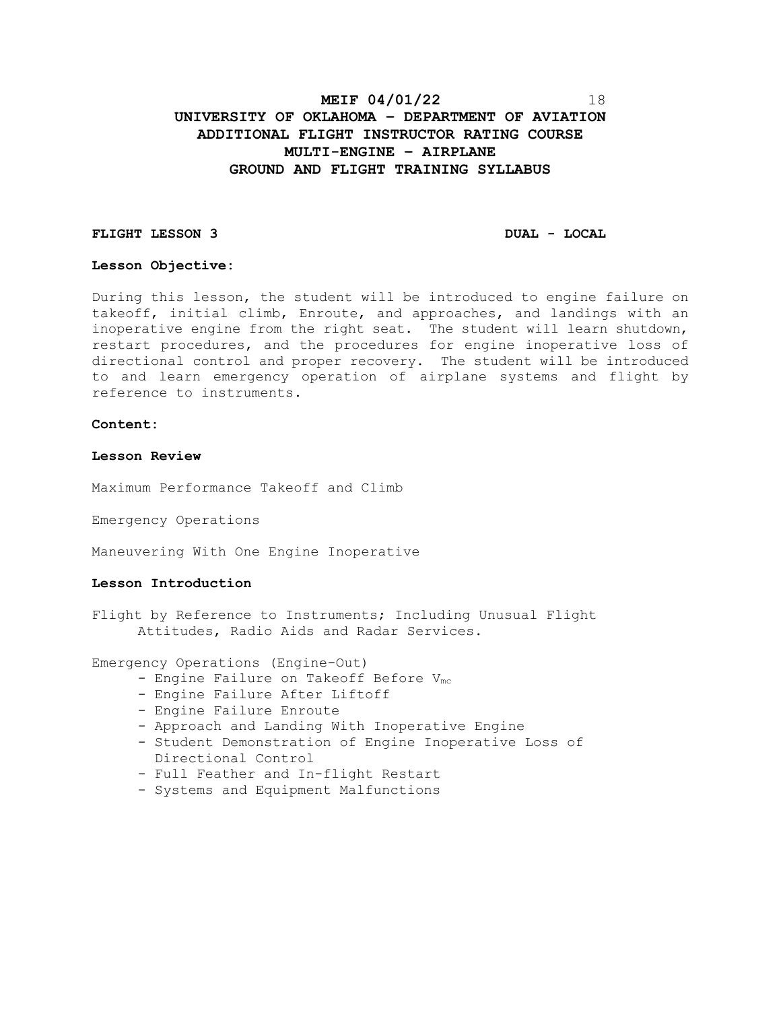# **MEIF 04/01/22** 18 **UNIVERSITY OF OKLAHOMA – DEPARTMENT OF AVIATION ADDITIONAL FLIGHT INSTRUCTOR RATING COURSE MULTI-ENGINE – AIRPLANE GROUND AND FLIGHT TRAINING SYLLABUS**

## **FLIGHT LESSON 3 DUAL - LOCAL**

#### **Lesson Objective:**

During this lesson, the student will be introduced to engine failure on takeoff, initial climb, Enroute, and approaches, and landings with an inoperative engine from the right seat. The student will learn shutdown, restart procedures, and the procedures for engine inoperative loss of directional control and proper recovery. The student will be introduced to and learn emergency operation of airplane systems and flight by reference to instruments.

#### **Content:**

## **Lesson Review**

Maximum Performance Takeoff and Climb

Emergency Operations

Maneuvering With One Engine Inoperative

## **Lesson Introduction**

Flight by Reference to Instruments; Including Unusual Flight Attitudes, Radio Aids and Radar Services.

Emergency Operations (Engine-Out)

- Engine Failure on Takeoff Before Vmc
- Engine Failure After Liftoff
- Engine Failure Enroute
- Approach and Landing With Inoperative Engine
- Student Demonstration of Engine Inoperative Loss of Directional Control
- Full Feather and In-flight Restart
- Systems and Equipment Malfunctions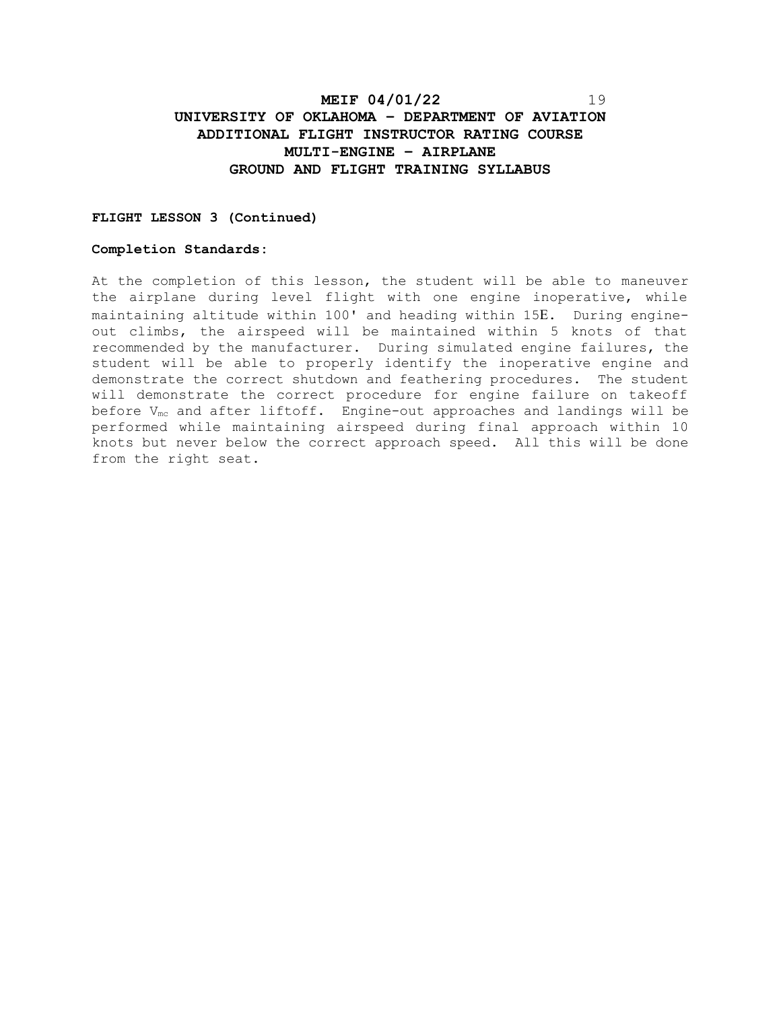# **MEIF 04/01/22** 19 **UNIVERSITY OF OKLAHOMA – DEPARTMENT OF AVIATION ADDITIONAL FLIGHT INSTRUCTOR RATING COURSE MULTI-ENGINE – AIRPLANE GROUND AND FLIGHT TRAINING SYLLABUS**

## **FLIGHT LESSON 3 (Continued)**

## **Completion Standards:**

At the completion of this lesson, the student will be able to maneuver the airplane during level flight with one engine inoperative, while maintaining altitude within 100' and heading within 15E. During engineout climbs, the airspeed will be maintained within 5 knots of that recommended by the manufacturer. During simulated engine failures, the student will be able to properly identify the inoperative engine and demonstrate the correct shutdown and feathering procedures. The student will demonstrate the correct procedure for engine failure on takeoff before V<sub>mc</sub> and after liftoff. Engine-out approaches and landings will be performed while maintaining airspeed during final approach within 10 knots but never below the correct approach speed. All this will be done from the right seat.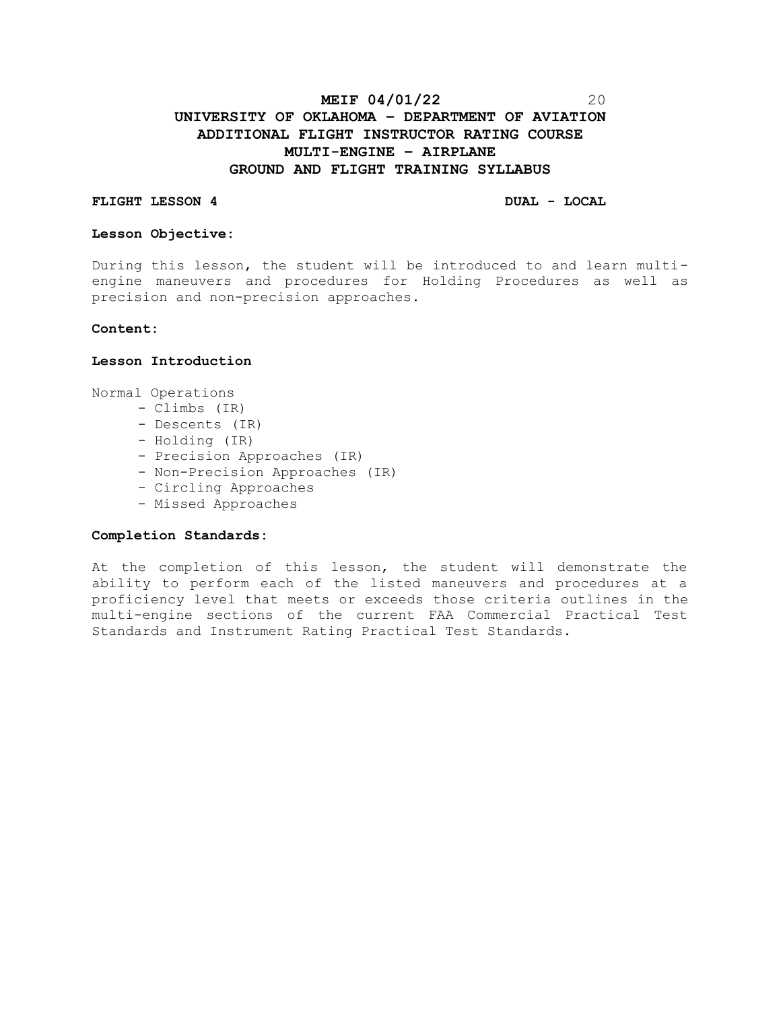# **MEIF 04/01/22** 20 **UNIVERSITY OF OKLAHOMA – DEPARTMENT OF AVIATION ADDITIONAL FLIGHT INSTRUCTOR RATING COURSE MULTI-ENGINE – AIRPLANE GROUND AND FLIGHT TRAINING SYLLABUS**

### **FLIGHT LESSON 4 DUAL - LOCAL**

#### **Lesson Objective:**

During this lesson, the student will be introduced to and learn multiengine maneuvers and procedures for Holding Procedures as well as precision and non-precision approaches.

### **Content:**

## **Lesson Introduction**

Normal Operations

- Climbs (IR)
- Descents (IR)
- Holding (IR)
- Precision Approaches (IR)
- Non-Precision Approaches (IR)
- Circling Approaches
- Missed Approaches

#### **Completion Standards:**

At the completion of this lesson, the student will demonstrate the ability to perform each of the listed maneuvers and procedures at a proficiency level that meets or exceeds those criteria outlines in the multi-engine sections of the current FAA Commercial Practical Test Standards and Instrument Rating Practical Test Standards.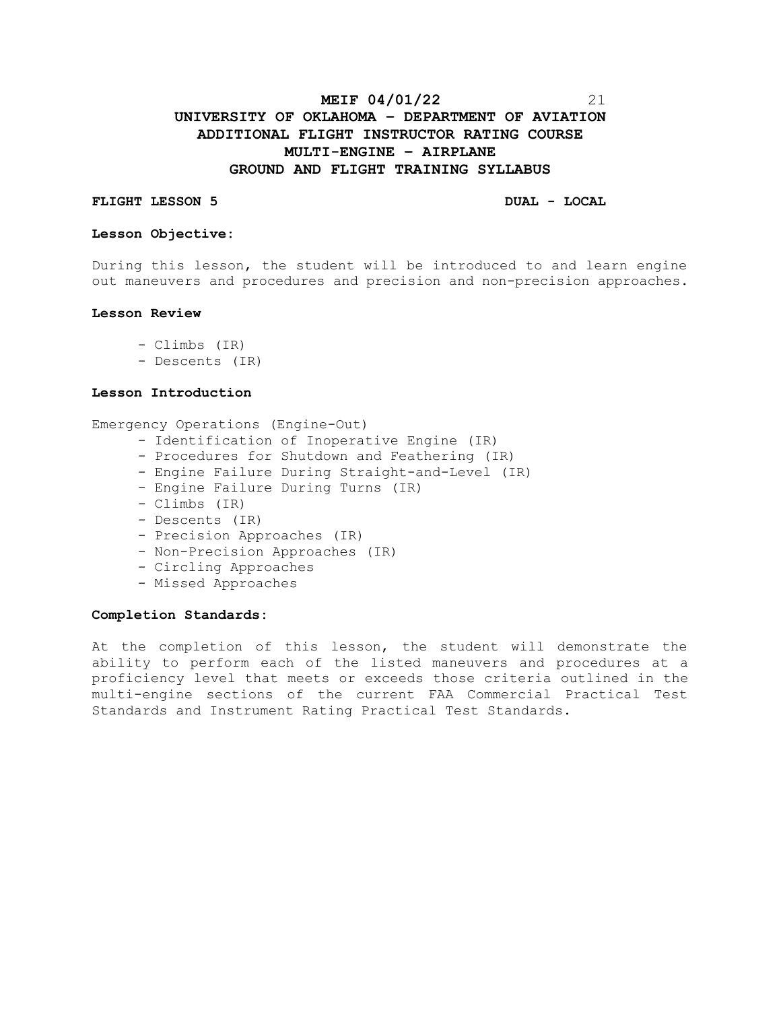# **MEIF 04/01/22** 21 **UNIVERSITY OF OKLAHOMA – DEPARTMENT OF AVIATION ADDITIONAL FLIGHT INSTRUCTOR RATING COURSE MULTI-ENGINE – AIRPLANE GROUND AND FLIGHT TRAINING SYLLABUS**

#### **FLIGHT LESSON 5 DUAL - LOCAL**

#### **Lesson Objective:**

During this lesson, the student will be introduced to and learn engine out maneuvers and procedures and precision and non-precision approaches.

### **Lesson Review**

- Climbs (IR)
- Descents (IR)

## **Lesson Introduction**

Emergency Operations (Engine-Out)

- Identification of Inoperative Engine (IR)
- Procedures for Shutdown and Feathering (IR)
- Engine Failure During Straight-and-Level (IR)
- Engine Failure During Turns (IR)
- Climbs (IR)
- Descents (IR)
- Precision Approaches (IR)
- Non-Precision Approaches (IR)
- Circling Approaches
- Missed Approaches

#### **Completion Standards:**

At the completion of this lesson, the student will demonstrate the ability to perform each of the listed maneuvers and procedures at a proficiency level that meets or exceeds those criteria outlined in the multi-engine sections of the current FAA Commercial Practical Test Standards and Instrument Rating Practical Test Standards.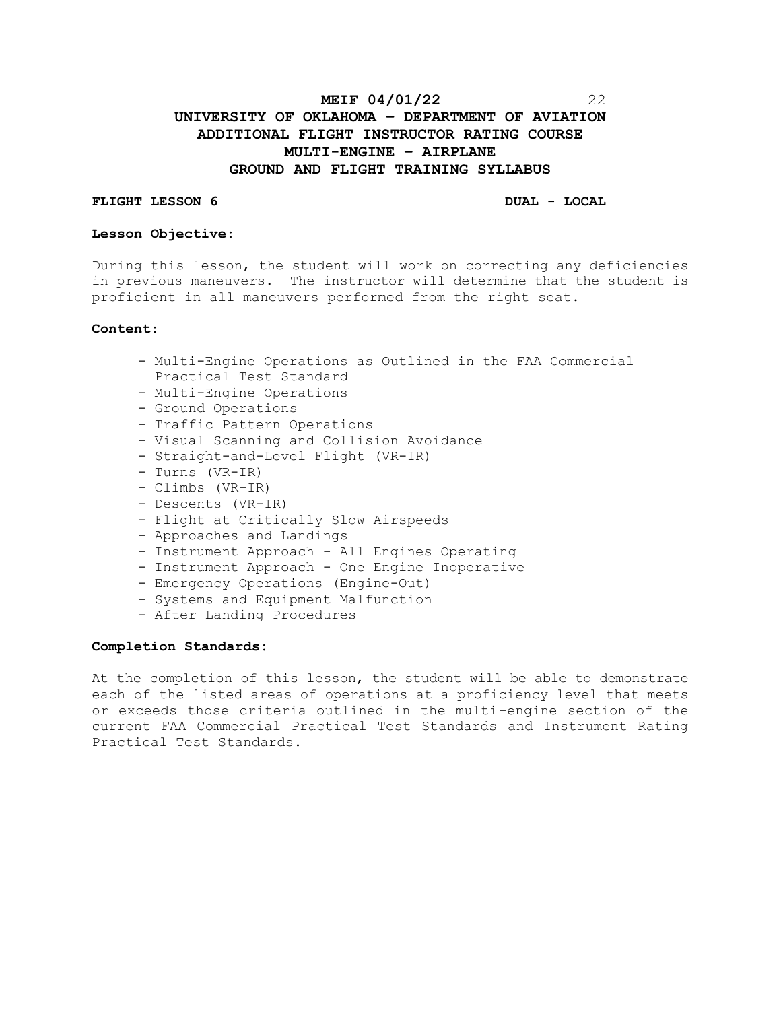# **MEIF 04/01/22** 22 **UNIVERSITY OF OKLAHOMA – DEPARTMENT OF AVIATION ADDITIONAL FLIGHT INSTRUCTOR RATING COURSE MULTI-ENGINE – AIRPLANE GROUND AND FLIGHT TRAINING SYLLABUS**

#### **FLIGHT LESSON 6 DUAL - LOCAL**

#### **Lesson Objective:**

During this lesson, the student will work on correcting any deficiencies in previous maneuvers. The instructor will determine that the student is proficient in all maneuvers performed from the right seat.

## **Content:**

- Multi-Engine Operations as Outlined in the FAA Commercial Practical Test Standard
- Multi-Engine Operations
- Ground Operations
- Traffic Pattern Operations
- Visual Scanning and Collision Avoidance
- Straight-and-Level Flight (VR-IR)
- Turns (VR-IR)
- Climbs (VR-IR)
- Descents (VR-IR)
- Flight at Critically Slow Airspeeds
- Approaches and Landings
- Instrument Approach All Engines Operating
- Instrument Approach One Engine Inoperative
- Emergency Operations (Engine-Out)
- Systems and Equipment Malfunction
- After Landing Procedures

# **Completion Standards:**

At the completion of this lesson, the student will be able to demonstrate each of the listed areas of operations at a proficiency level that meets or exceeds those criteria outlined in the multi-engine section of the current FAA Commercial Practical Test Standards and Instrument Rating Practical Test Standards.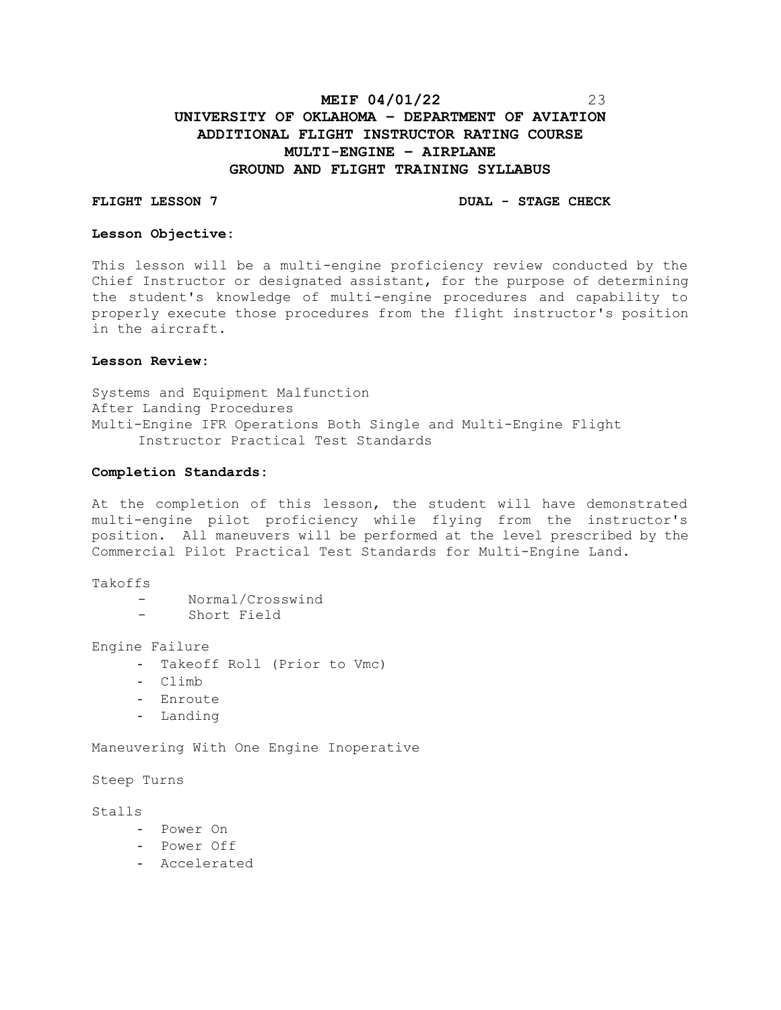# **MEIF 04/01/22** 23 **UNIVERSITY OF OKLAHOMA – DEPARTMENT OF AVIATION ADDITIONAL FLIGHT INSTRUCTOR RATING COURSE MULTI-ENGINE – AIRPLANE GROUND AND FLIGHT TRAINING SYLLABUS**

### **FLIGHT LESSON 7 DUAL - STAGE CHECK**

#### **Lesson Objective:**

This lesson will be a multi-engine proficiency review conducted by the Chief Instructor or designated assistant, for the purpose of determining the student's knowledge of multi-engine procedures and capability to properly execute those procedures from the flight instructor's position in the aircraft.

### **Lesson Review:**

Systems and Equipment Malfunction After Landing Procedures Multi-Engine IFR Operations Both Single and Multi-Engine Flight Instructor Practical Test Standards

### **Completion Standards:**

At the completion of this lesson, the student will have demonstrated multi-engine pilot proficiency while flying from the instructor's position. All maneuvers will be performed at the level prescribed by the Commercial Pilot Practical Test Standards for Multi-Engine Land.

# Takoffs

- Normal/Crosswind
- Short Field

Engine Failure

- Takeoff Roll (Prior to Vmc)
- Climb
- Enroute
- Landing

Maneuvering With One Engine Inoperative

Steep Turns

Stalls

- Power On
- Power Off
- Accelerated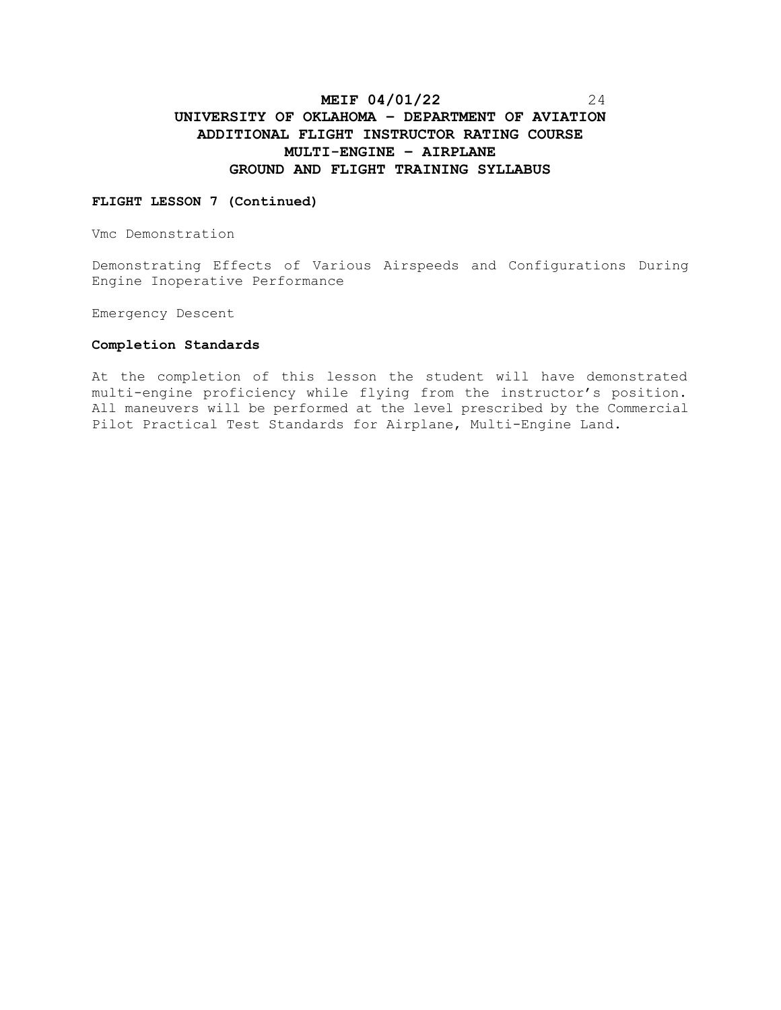# **MEIF 04/01/22** 24 **UNIVERSITY OF OKLAHOMA – DEPARTMENT OF AVIATION ADDITIONAL FLIGHT INSTRUCTOR RATING COURSE MULTI-ENGINE – AIRPLANE GROUND AND FLIGHT TRAINING SYLLABUS**

#### **FLIGHT LESSON 7 (Continued)**

Vmc Demonstration

Demonstrating Effects of Various Airspeeds and Configurations During Engine Inoperative Performance

Emergency Descent

### **Completion Standards**

At the completion of this lesson the student will have demonstrated multi-engine proficiency while flying from the instructor's position. All maneuvers will be performed at the level prescribed by the Commercial Pilot Practical Test Standards for Airplane, Multi-Engine Land.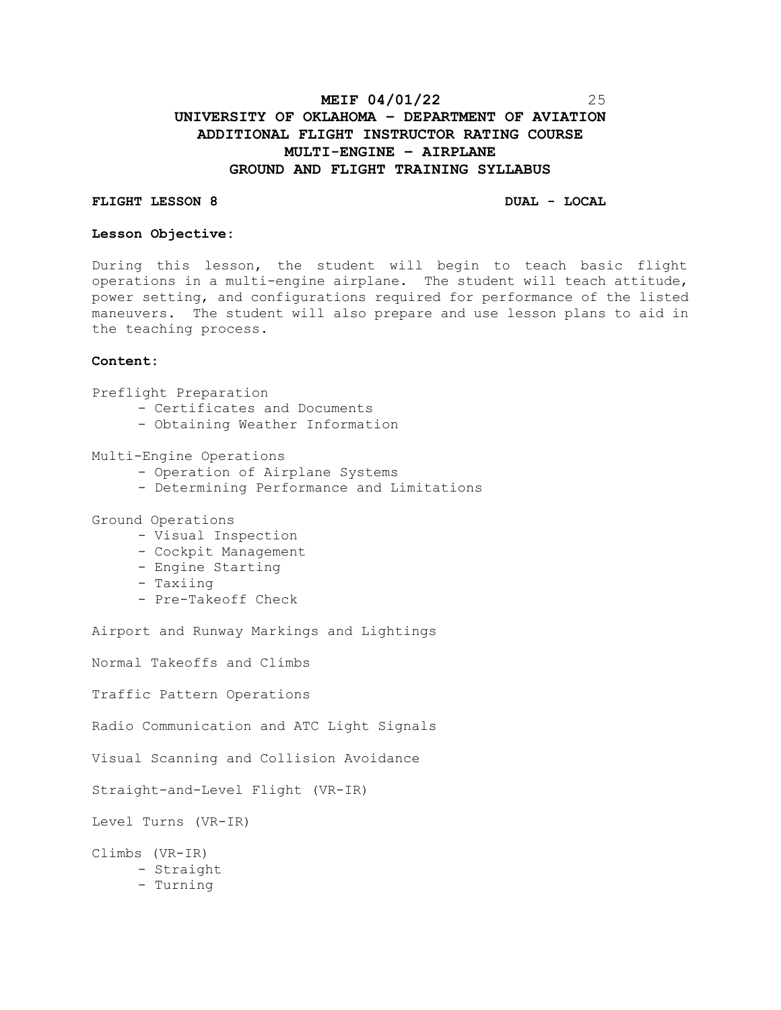# **MEIF 04/01/22** 25 **UNIVERSITY OF OKLAHOMA – DEPARTMENT OF AVIATION ADDITIONAL FLIGHT INSTRUCTOR RATING COURSE MULTI-ENGINE – AIRPLANE GROUND AND FLIGHT TRAINING SYLLABUS**

### **FLIGHT LESSON 8 DUAL - LOCAL**

#### **Lesson Objective:**

During this lesson, the student will begin to teach basic flight operations in a multi-engine airplane. The student will teach attitude, power setting, and configurations required for performance of the listed maneuvers. The student will also prepare and use lesson plans to aid in the teaching process.

### **Content:**

Preflight Preparation

- Certificates and Documents
- Obtaining Weather Information

Multi-Engine Operations

- Operation of Airplane Systems
- Determining Performance and Limitations

Ground Operations

- Visual Inspection
- Cockpit Management
- Engine Starting
- Taxiing
- Pre-Takeoff Check

Airport and Runway Markings and Lightings

Normal Takeoffs and Climbs

Traffic Pattern Operations

Radio Communication and ATC Light Signals

Visual Scanning and Collision Avoidance

Straight-and-Level Flight (VR-IR)

Level Turns (VR-IR)

Climbs (VR-IR) - Straight

- Turning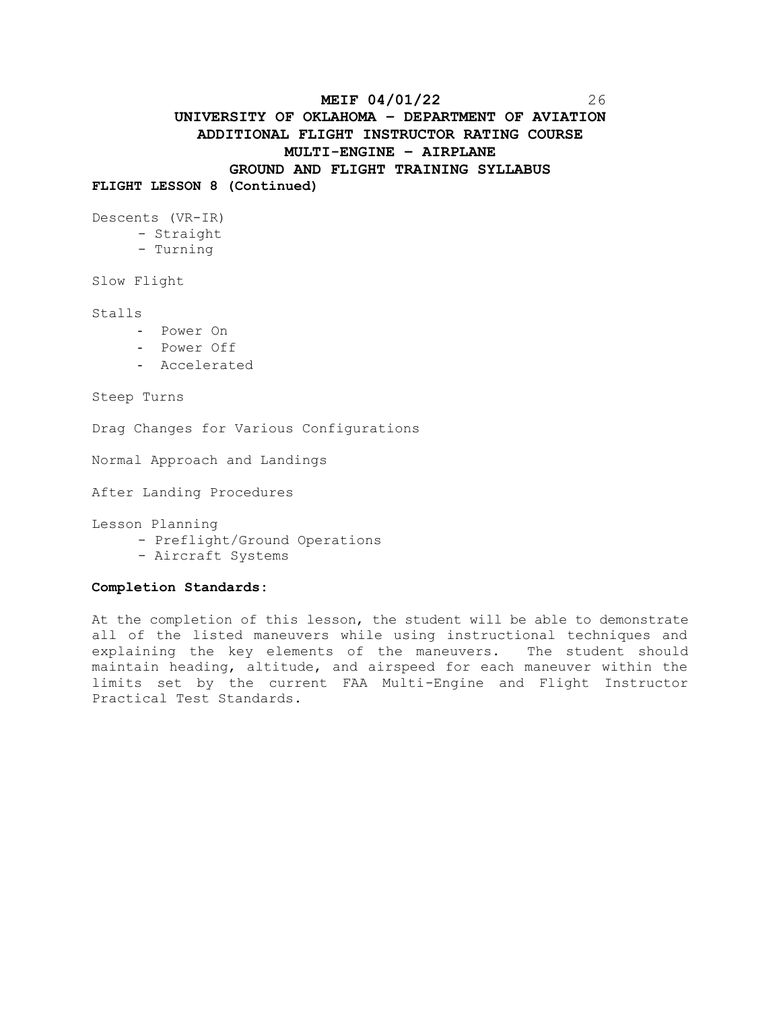# **MEIF 04/01/22** 26 **UNIVERSITY OF OKLAHOMA – DEPARTMENT OF AVIATION ADDITIONAL FLIGHT INSTRUCTOR RATING COURSE MULTI-ENGINE – AIRPLANE GROUND AND FLIGHT TRAINING SYLLABUS**

**FLIGHT LESSON 8 (Continued)**

Descents (VR-IR)

- Straight
- Turning

# Slow Flight

Stalls

- Power On
- Power Off
- Accelerated

Steep Turns

Drag Changes for Various Configurations

Normal Approach and Landings

After Landing Procedures

Lesson Planning

- Preflight/Ground Operations
- Aircraft Systems

## **Completion Standards:**

At the completion of this lesson, the student will be able to demonstrate all of the listed maneuvers while using instructional techniques and explaining the key elements of the maneuvers. The student should maintain heading, altitude, and airspeed for each maneuver within the limits set by the current FAA Multi-Engine and Flight Instructor Practical Test Standards.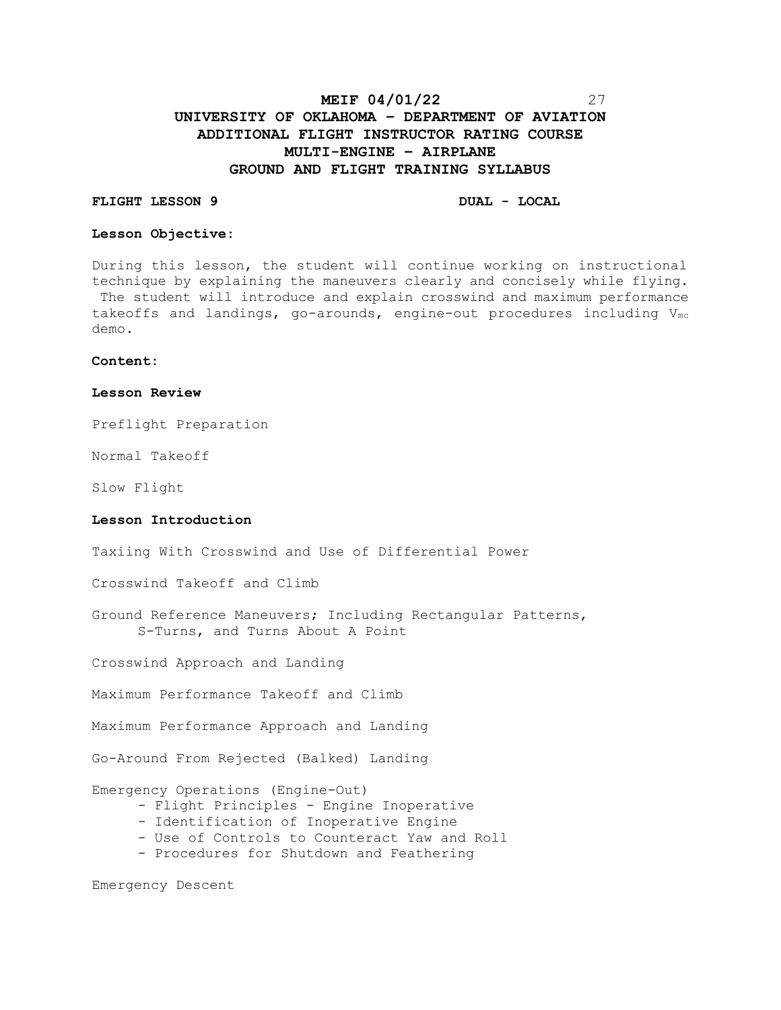# **MEIF 04/01/22** 27 **UNIVERSITY OF OKLAHOMA – DEPARTMENT OF AVIATION ADDITIONAL FLIGHT INSTRUCTOR RATING COURSE MULTI-ENGINE – AIRPLANE GROUND AND FLIGHT TRAINING SYLLABUS**

### **FLIGHT LESSON 9 DUAL - LOCAL**

#### **Lesson Objective:**

During this lesson, the student will continue working on instructional technique by explaining the maneuvers clearly and concisely while flying. The student will introduce and explain crosswind and maximum performance takeoffs and landings, go-arounds, engine-out procedures including  $V_{mc}$ demo.

## **Content:**

# **Lesson Review**

Preflight Preparation

Normal Takeoff

Slow Flight

# **Lesson Introduction**

Taxiing With Crosswind and Use of Differential Power

Crosswind Takeoff and Climb

Ground Reference Maneuvers; Including Rectangular Patterns, S-Turns, and Turns About A Point

Crosswind Approach and Landing

Maximum Performance Takeoff and Climb

Maximum Performance Approach and Landing

Go-Around From Rejected (Balked) Landing

Emergency Operations (Engine-Out)

- Flight Principles Engine Inoperative
- Identification of Inoperative Engine
- Use of Controls to Counteract Yaw and Roll
- Procedures for Shutdown and Feathering

Emergency Descent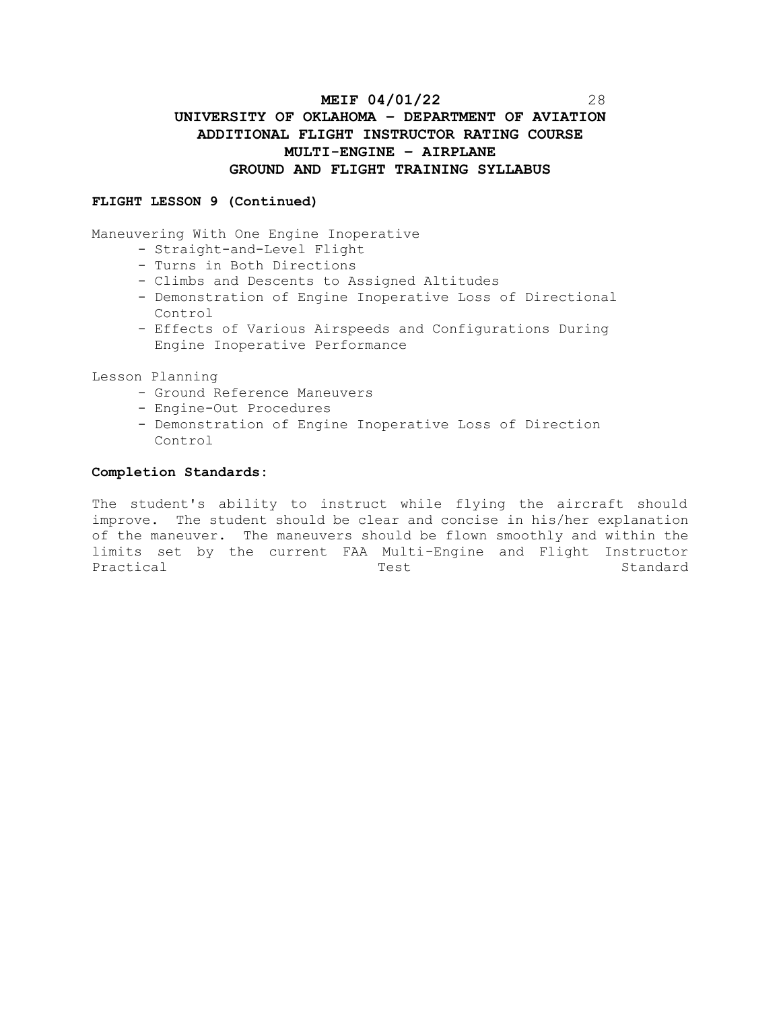# **MEIF 04/01/22** 28 **UNIVERSITY OF OKLAHOMA – DEPARTMENT OF AVIATION ADDITIONAL FLIGHT INSTRUCTOR RATING COURSE MULTI-ENGINE – AIRPLANE GROUND AND FLIGHT TRAINING SYLLABUS**

### **FLIGHT LESSON 9 (Continued)**

Maneuvering With One Engine Inoperative

- Straight-and-Level Flight
- Turns in Both Directions
- Climbs and Descents to Assigned Altitudes
- Demonstration of Engine Inoperative Loss of Directional Control
- Effects of Various Airspeeds and Configurations During Engine Inoperative Performance

Lesson Planning

- Ground Reference Maneuvers
- Engine-Out Procedures
- Demonstration of Engine Inoperative Loss of Direction Control

## **Completion Standards:**

The student's ability to instruct while flying the aircraft should improve. The student should be clear and concise in his/her explanation of the maneuver. The maneuvers should be flown smoothly and within the limits set by the current FAA Multi-Engine and Flight Instructor Practical **Test** Standard Practical Standard Practical Standard Standard Standard Standard Standard Standard Standard Standard Standard Standard Standard Standard Standard Standard Standard Standard Standard Standard Stand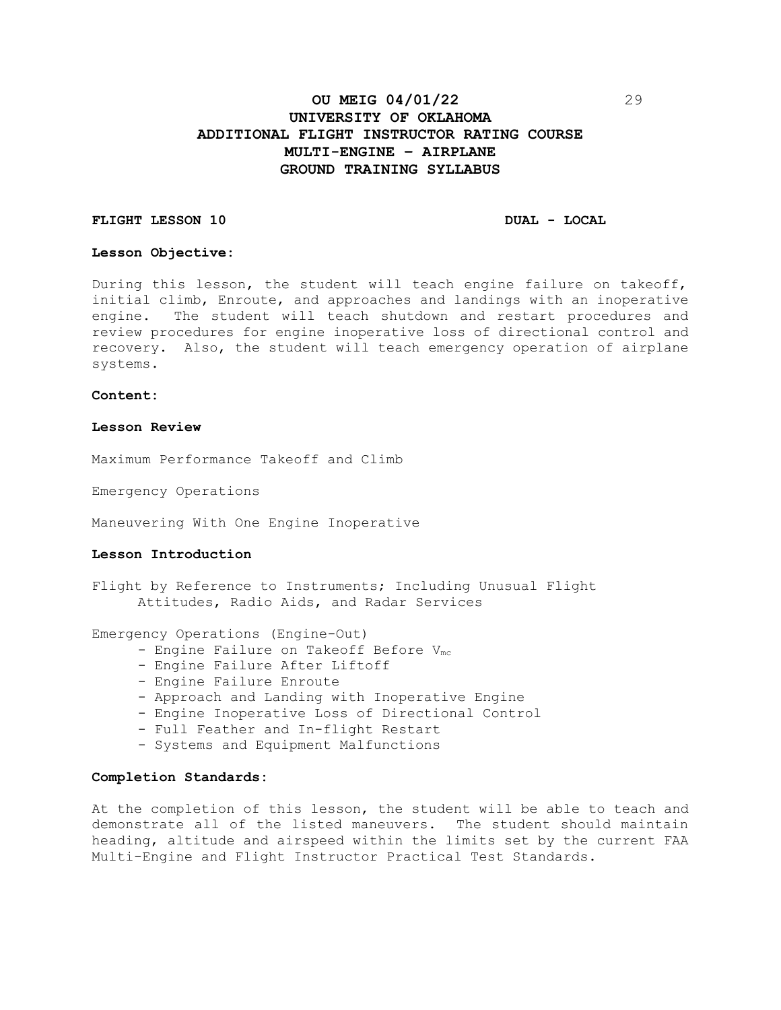# **OU MEIG 04/01/22** 29 **UNIVERSITY OF OKLAHOMA ADDITIONAL FLIGHT INSTRUCTOR RATING COURSE MULTI-ENGINE – AIRPLANE GROUND TRAINING SYLLABUS**

### **FLIGHT LESSON 10 DUAL - LOCAL**

#### **Lesson Objective:**

During this lesson, the student will teach engine failure on takeoff, initial climb, Enroute, and approaches and landings with an inoperative engine. The student will teach shutdown and restart procedures and review procedures for engine inoperative loss of directional control and recovery. Also, the student will teach emergency operation of airplane systems.

#### **Content:**

#### **Lesson Review**

Maximum Performance Takeoff and Climb

Emergency Operations

Maneuvering With One Engine Inoperative

## **Lesson Introduction**

Flight by Reference to Instruments; Including Unusual Flight Attitudes, Radio Aids, and Radar Services

Emergency Operations (Engine-Out)

- Engine Failure on Takeoff Before Vmc
- Engine Failure After Liftoff
- Engine Failure Enroute
- Approach and Landing with Inoperative Engine
- Engine Inoperative Loss of Directional Control
- Full Feather and In-flight Restart
- Systems and Equipment Malfunctions

#### **Completion Standards:**

At the completion of this lesson, the student will be able to teach and demonstrate all of the listed maneuvers. The student should maintain heading, altitude and airspeed within the limits set by the current FAA Multi-Engine and Flight Instructor Practical Test Standards.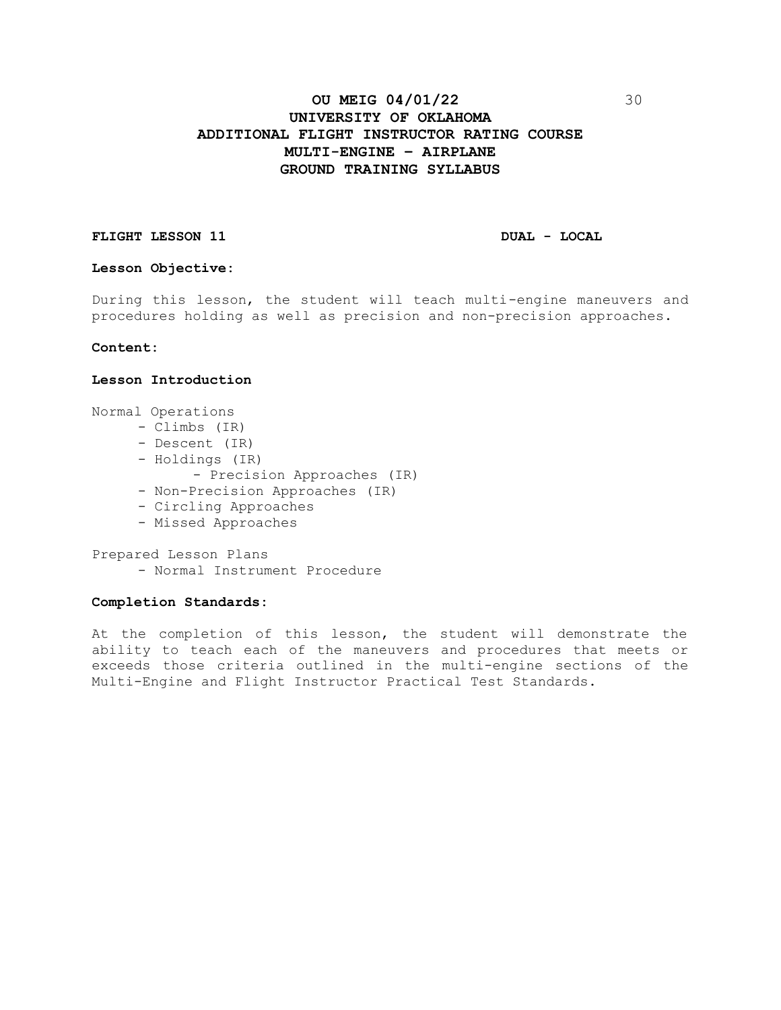## **FLIGHT LESSON 11** DUAL - LOCAL

#### **Lesson Objective:**

During this lesson, the student will teach multi-engine maneuvers and procedures holding as well as precision and non-precision approaches.

#### **Content:**

# **Lesson Introduction**

Normal Operations

- Climbs (IR)
- Descent (IR)
- Holdings (IR)
	- Precision Approaches (IR)
- Non-Precision Approaches (IR)
- Circling Approaches
- Missed Approaches

Prepared Lesson Plans - Normal Instrument Procedure

#### **Completion Standards:**

At the completion of this lesson, the student will demonstrate the ability to teach each of the maneuvers and procedures that meets or exceeds those criteria outlined in the multi-engine sections of the Multi-Engine and Flight Instructor Practical Test Standards.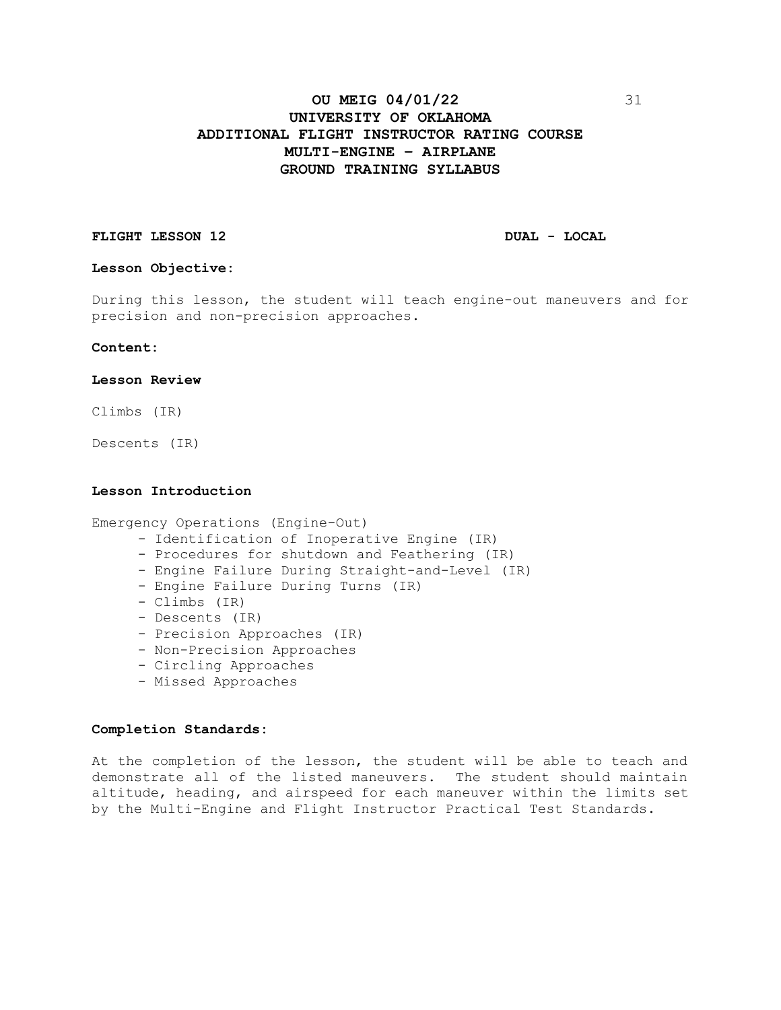# **OU MEIG 04/01/22** 31 **UNIVERSITY OF OKLAHOMA ADDITIONAL FLIGHT INSTRUCTOR RATING COURSE MULTI-ENGINE – AIRPLANE GROUND TRAINING SYLLABUS**

## **FLIGHT LESSON 12 DUAL - LOCAL**

#### **Lesson Objective:**

During this lesson, the student will teach engine-out maneuvers and for precision and non-precision approaches.

#### **Content:**

#### **Lesson Review**

Climbs (IR)

Descents (IR)

## **Lesson Introduction**

Emergency Operations (Engine-Out)

- Identification of Inoperative Engine (IR)
- Procedures for shutdown and Feathering (IR)
- Engine Failure During Straight-and-Level (IR)
- Engine Failure During Turns (IR)
- Climbs (IR)
- Descents (IR)
- Precision Approaches (IR)
- Non-Precision Approaches
- Circling Approaches
- Missed Approaches

### **Completion Standards:**

At the completion of the lesson, the student will be able to teach and demonstrate all of the listed maneuvers. The student should maintain altitude, heading, and airspeed for each maneuver within the limits set by the Multi-Engine and Flight Instructor Practical Test Standards.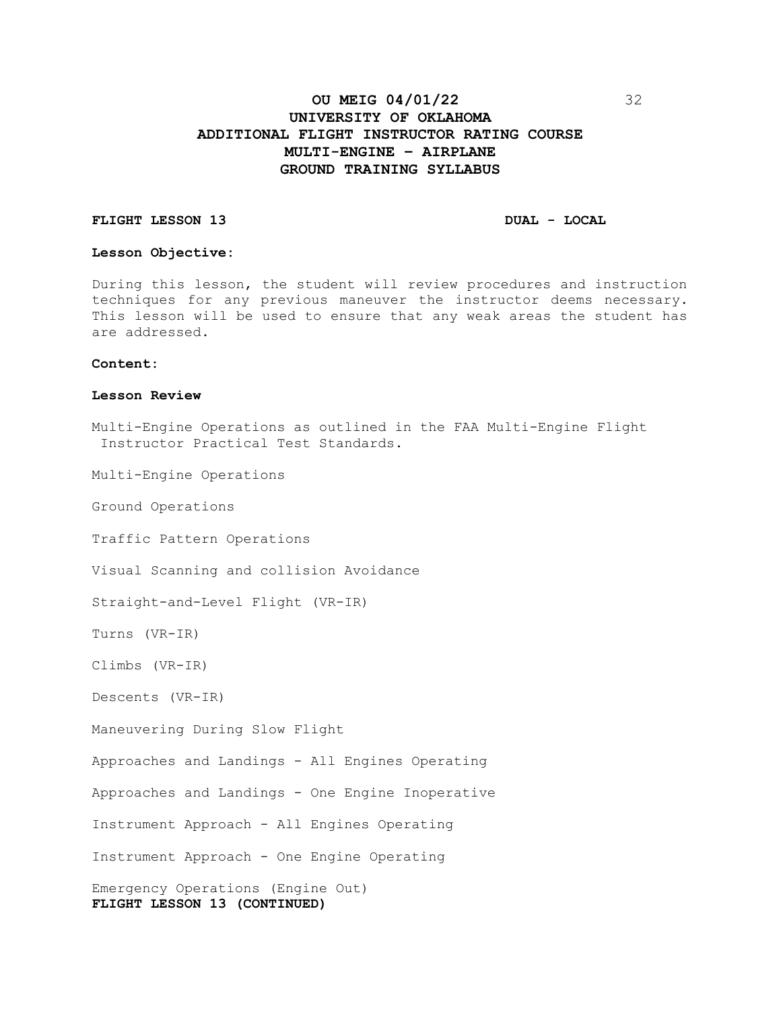# **GROUND TRAINING SYLLABUS**

#### **FLIGHT LESSON 13 DUAL - LOCAL**

#### **Lesson Objective:**

During this lesson, the student will review procedures and instruction techniques for any previous maneuver the instructor deems necessary. This lesson will be used to ensure that any weak areas the student has are addressed.

### **Content:**

#### **Lesson Review**

Multi-Engine Operations as outlined in the FAA Multi-Engine Flight Instructor Practical Test Standards.

Multi-Engine Operations

Ground Operations

Traffic Pattern Operations

Visual Scanning and collision Avoidance

Straight-and-Level Flight (VR-IR)

Turns (VR-IR)

Climbs (VR-IR)

Descents (VR-IR)

Maneuvering During Slow Flight

Approaches and Landings - All Engines Operating

Approaches and Landings - One Engine Inoperative

Instrument Approach - All Engines Operating

Instrument Approach - One Engine Operating

Emergency Operations (Engine Out) **FLIGHT LESSON 13 (CONTINUED)**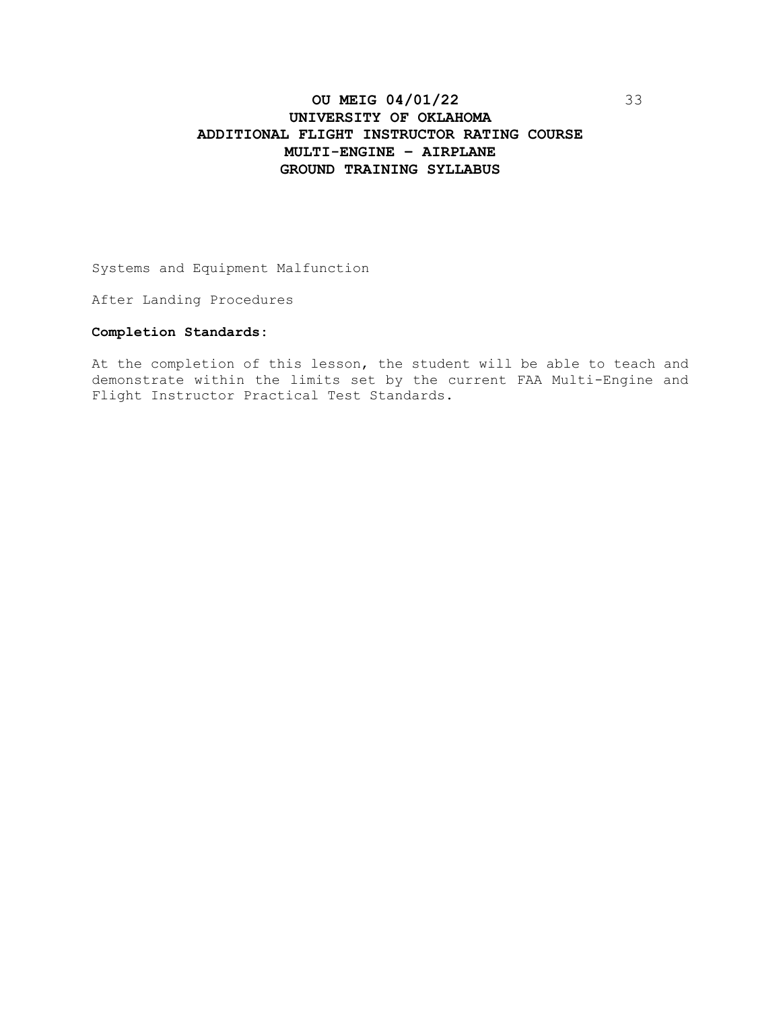# **OU MEIG 04/01/22** 33 **UNIVERSITY OF OKLAHOMA ADDITIONAL FLIGHT INSTRUCTOR RATING COURSE MULTI-ENGINE – AIRPLANE GROUND TRAINING SYLLABUS**

Systems and Equipment Malfunction

After Landing Procedures

# **Completion Standards:**

At the completion of this lesson, the student will be able to teach and demonstrate within the limits set by the current FAA Multi-Engine and Flight Instructor Practical Test Standards.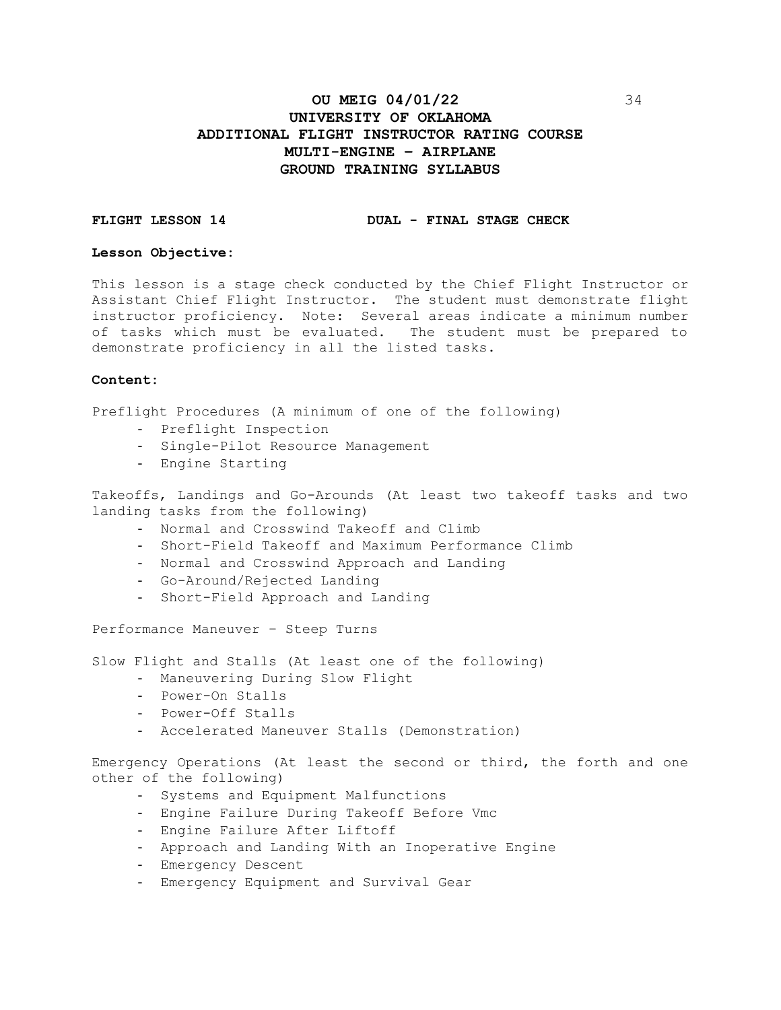# **OU MEIG 04/01/22** 34 **UNIVERSITY OF OKLAHOMA ADDITIONAL FLIGHT INSTRUCTOR RATING COURSE MULTI-ENGINE – AIRPLANE GROUND TRAINING SYLLABUS**

**FLIGHT LESSON 14 DUAL - FINAL STAGE CHECK**

#### **Lesson Objective:**

This lesson is a stage check conducted by the Chief Flight Instructor or Assistant Chief Flight Instructor. The student must demonstrate flight instructor proficiency. Note: Several areas indicate a minimum number of tasks which must be evaluated. The student must be prepared to demonstrate proficiency in all the listed tasks.

### **Content:**

Preflight Procedures (A minimum of one of the following)

- Preflight Inspection
- Single-Pilot Resource Management
- Engine Starting

Takeoffs, Landings and Go-Arounds (At least two takeoff tasks and two landing tasks from the following)

- Normal and Crosswind Takeoff and Climb
- Short-Field Takeoff and Maximum Performance Climb
- Normal and Crosswind Approach and Landing
- Go-Around/Rejected Landing
- Short-Field Approach and Landing

Performance Maneuver – Steep Turns

Slow Flight and Stalls (At least one of the following)

- Maneuvering During Slow Flight
- Power-On Stalls
- Power-Off Stalls
- Accelerated Maneuver Stalls (Demonstration)

Emergency Operations (At least the second or third, the forth and one other of the following)

- Systems and Equipment Malfunctions
- Engine Failure During Takeoff Before Vmc
- Engine Failure After Liftoff
- Approach and Landing With an Inoperative Engine
- Emergency Descent
- Emergency Equipment and Survival Gear